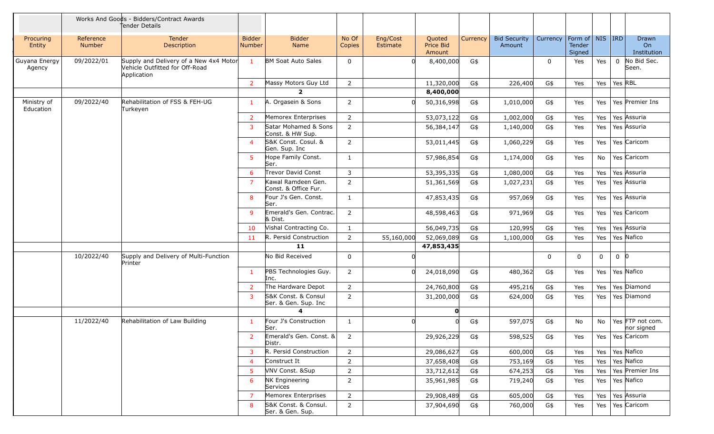|                          |                            | Works And Goods - Bidders/Contract Awards<br>Tender Details                             |                                |                                             |                 |                             |                               |          |                               |          |                                         |     |          |                                   |
|--------------------------|----------------------------|-----------------------------------------------------------------------------------------|--------------------------------|---------------------------------------------|-----------------|-----------------------------|-------------------------------|----------|-------------------------------|----------|-----------------------------------------|-----|----------|-----------------------------------|
| Procuring<br>Entity      | Reference<br><b>Number</b> | <b>Tender</b><br>Description                                                            | <b>Bidder</b><br><b>Number</b> | <b>Bidder</b><br>Name                       | No Of<br>Copies | Eng/Cost<br><b>Estimate</b> | Quoted<br>Price Bid<br>Amount | Currency | <b>Bid Security</b><br>Amount | Currency | Form of   NIS   IRD<br>Tender<br>Signed |     |          | <b>Drawn</b><br>On<br>Institution |
| Guyana Energy<br>Agency  | 09/2022/01                 | Supply and Delivery of a New 4x4 Motor<br>Vehicle Outfitted for Off-Road<br>Application | $\mathbf{1}$                   | <b>BM Soat Auto Sales</b>                   | $\mathbf 0$     |                             | 8,400,000                     | G\$      |                               | $\Omega$ | Yes                                     | Yes | $\Omega$ | No Bid Sec.<br>Seen.              |
|                          |                            |                                                                                         | 2                              | Massy Motors Guy Ltd                        | $\overline{2}$  |                             | 11,320,000                    | G\$      | 226,400                       | G\$      | Yes                                     | Yes | Yes RBL  |                                   |
|                          |                            |                                                                                         |                                | $\overline{2}$                              |                 |                             | 8,400,000                     |          |                               |          |                                         |     |          |                                   |
| Ministry of<br>Education | 09/2022/40                 | Rehabilitation of FSS & FEH-UG<br>Turkeyen                                              | -1                             | A. Orgasein & Sons                          | 2               |                             | 50,316,998                    | G\$      | 1,010,000                     | G\$      | Yes                                     | Yes |          | Yes Premier Ins                   |
|                          |                            |                                                                                         | 2                              | Memorex Enterprises                         | $\overline{2}$  |                             | 53,073,122                    | G\$      | 1,002,000                     | G\$      | Yes                                     | Yes |          | Yes Assuria                       |
|                          |                            |                                                                                         | 3                              | Satar Mohamed & Sons<br>Const. & HW Sup.    | $\overline{2}$  |                             | 56,384,147                    | G\$      | 1,140,000                     | G\$      | Yes                                     | Yes |          | Yes Assuria                       |
|                          |                            |                                                                                         | $\overline{4}$                 | S&K Const. Cosul. &<br>Gen. Sup. Inc        | 2               |                             | 53,011,445                    | G\$      | 1,060,229                     | G\$      | Yes                                     | Yes |          | Yes Caricom                       |
|                          |                            |                                                                                         | -5                             | Hope Family Const.<br>Ser.                  | 1               |                             | 57,986,854                    | G\$      | 1,174,000                     | G\$      | Yes                                     | No  |          | Yes Caricom                       |
|                          |                            |                                                                                         | 6                              | Trevor David Const                          | 3               |                             | 53,395,335                    | G\$      | 1,080,000                     | G\$      | Yes                                     | Yes |          | Yes Assuria                       |
|                          |                            |                                                                                         |                                | Kawal Ramdeen Gen.<br>Const. & Office Fur.  | $\overline{2}$  |                             | 51,361,569                    | G\$      | 1,027,231                     | G\$      | Yes                                     | Yes |          | Yes Assuria                       |
|                          |                            |                                                                                         | 8                              | Four J's Gen. Const.<br>Ser.                | 1               |                             | 47,853,435                    | G\$      | 957,069                       | G\$      | Yes                                     | Yes |          | Yes Assuria                       |
|                          |                            |                                                                                         | <sub>9</sub>                   | Emerald's Gen. Contrac.<br>& Dist.          | $\overline{2}$  |                             | 48,598,463                    | G\$      | 971,969                       | G\$      | Yes                                     | Yes |          | Yes Caricom                       |
|                          |                            |                                                                                         | 10                             | Vishal Contracting Co.                      | 1               |                             | 56,049,735                    | G\$      | 120,995                       | G\$      | Yes                                     | Yes |          | Yes Assuria                       |
|                          |                            |                                                                                         | 11                             | R. Persid Construction                      | $\overline{2}$  | 55,160,000                  | 52,069,089                    | G\$      | 1,100,000                     | G\$      | Yes                                     | Yes |          | Yes Nafico                        |
|                          |                            |                                                                                         |                                | 11                                          |                 |                             | 47,853,435                    |          |                               |          |                                         |     |          |                                   |
|                          | 10/2022/40                 | Supply and Delivery of Multi-Function<br>Printer                                        |                                | No Bid Received                             | $\Omega$        |                             |                               |          |                               | 0        | 0                                       | 0   | $0$ 0    |                                   |
|                          |                            |                                                                                         | -1                             | PBS Technologies Guy.<br>Inc.               | $\overline{2}$  |                             | 24,018,090                    | G\$      | 480,362                       | G\$      | Yes                                     | Yes |          | Yes Nafico                        |
|                          |                            |                                                                                         | 2                              | The Hardware Depot                          | $\overline{2}$  |                             | 24,760,800                    | G\$      | 495,216                       | G\$      | Yes                                     | Yes |          | Yes Diamond                       |
|                          |                            |                                                                                         | 3                              | S&K Const. & Consul<br>Ser. & Gen. Sup. Inc | $\overline{2}$  |                             | 31,200,000                    | G\$      | 624,000                       | G\$      | Yes                                     | Yes |          | Yes Diamond                       |
|                          |                            |                                                                                         |                                | 4                                           |                 |                             | $\mathbf{0}$                  |          |                               |          |                                         |     |          |                                   |
|                          | 11/2022/40                 | Rehabilitation of Law Building                                                          | -1                             | Four J's Construction<br>Ser.               | 1               |                             | 0l                            | G\$      | 597,075                       | G\$      | No                                      | No  |          | Yes FTP not com.<br>nor signed    |
|                          |                            |                                                                                         |                                | Emerald's Gen. Const. &<br>Distr.           | 2               |                             | 29,926,229                    | G\$      | 598,525                       | G\$      | Yes                                     |     |          | Yes   Yes Caricom                 |
|                          |                            |                                                                                         | 3                              | R. Persid Construction                      | $\overline{2}$  |                             | 29,086,627                    | G\$      | 600,000                       | G\$      | Yes                                     |     |          | Yes   Yes   Nafico                |
|                          |                            |                                                                                         | -4                             | Construct It                                | $\overline{2}$  |                             | 37,658,408                    | G\$      | 753,169                       | G\$      | Yes                                     | Yes |          | Yes Nafico                        |
|                          |                            |                                                                                         |                                | VNV Const. ⋑                                | $\overline{2}$  |                             | 33,712,612                    | G\$      | 674,253                       | G\$      | Yes                                     | Yes |          | Yes Premier Ins                   |
|                          |                            |                                                                                         | 6                              | NK Engineering<br>Services                  | $\overline{2}$  |                             | 35,961,985                    | G\$      | 719,240                       | G\$      | Yes                                     | Yes |          | Yes Nafico                        |
|                          |                            |                                                                                         |                                | Memorex Enterprises                         | $\overline{2}$  |                             | 29,908,489                    | G\$      | 605,000                       | G\$      | Yes                                     | Yes |          | Yes Assuria                       |
|                          |                            |                                                                                         | 8                              | S&K Const. & Consul.<br>Ser. & Gen. Sup.    | $\overline{2}$  |                             | 37,904,690                    | G\$      | 760,000                       | G\$      | Yes                                     | Yes |          | Yes Caricom                       |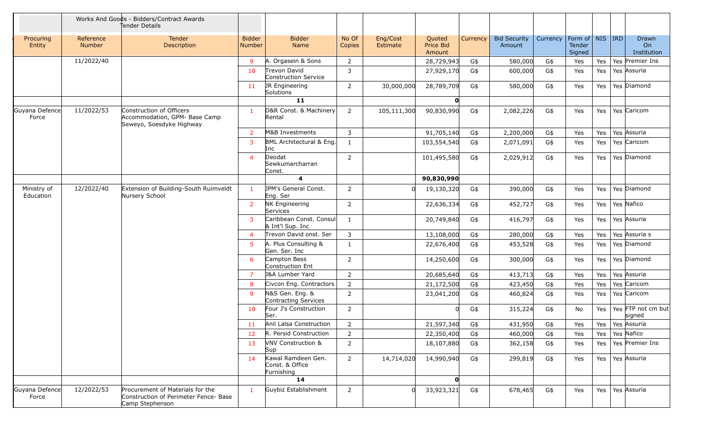|                          |                            | Works And Goods - Bidders/Contract Awards<br>fender Details                                  |                         |                                                     |                 |                      |                               |          |                               |          |                                         |     |                                        |
|--------------------------|----------------------------|----------------------------------------------------------------------------------------------|-------------------------|-----------------------------------------------------|-----------------|----------------------|-------------------------------|----------|-------------------------------|----------|-----------------------------------------|-----|----------------------------------------|
| Procuring<br>Entity      | Reference<br><b>Number</b> | <b>Tender</b><br>Description                                                                 | <b>Bidder</b><br>Number | <b>Bidder</b><br>Name                               | No Of<br>Copies | Eng/Cost<br>Estimate | Quoted<br>Price Bid<br>Amount | Currency | <b>Bid Security</b><br>Amount | Currency | Form of   NIS   IRD<br>Tender<br>Signed |     | Drawn<br>O <sub>n</sub><br>Institution |
|                          | 11/2022/40                 |                                                                                              | $\mathsf{q}$            | A. Orgasein & Sons                                  | 2               |                      | 28,729,943                    | G\$      | 580,000                       | G\$      | Yes                                     | Yes | Yes Premier Ins                        |
|                          |                            |                                                                                              | 10                      | Trevon David<br>Construction Service                | 3               |                      | 27,929,170                    | G\$      | 600,000                       | G\$      | Yes                                     | Yes | Yes Assuria                            |
|                          |                            |                                                                                              | 11                      | JR Engineering<br>Solutions                         | $\overline{2}$  | 30,000,000           | 28,789,709                    | G\$      | 580,000                       | G\$      | Yes                                     | Yes | Yes Diamond                            |
|                          |                            |                                                                                              |                         | 11                                                  |                 |                      | $\mathbf{0}$                  |          |                               |          |                                         |     |                                        |
| Guyana Defence<br>Force  | 11/2022/53                 | Construction of Officers<br>Accommodation, GPM- Base Camp<br>Seweyo, Soesdyke Highway        | $\mathbf{1}$            | D&R Const. & Machinery<br>Rental                    | $\overline{2}$  | 105,111,300          | 90,830,990                    | G\$      | 2,082,226                     | G\$      | Yes                                     | Yes | Yes Caricom                            |
|                          |                            |                                                                                              | $\overline{2}$          | M&B Investments                                     | 3               |                      | 91,705,140                    | G\$      | 2,200,000                     | G\$      | Yes                                     | Yes | Yes Assuria                            |
|                          |                            |                                                                                              | 3                       | BML Architectural & Eng.<br>Inc                     | $\mathbf{1}$    |                      | 103,554,540                   | G\$      | 2,071,091                     | G\$      | Yes                                     | Yes | Yes Caricom                            |
|                          |                            |                                                                                              | $\overline{4}$          | Deodat<br>Sewkumarcharran<br>Const.                 | $\overline{2}$  |                      | 101,495,580                   | G\$      | 2,029,912                     | G\$      | Yes                                     | Yes | Yes Diamond                            |
|                          |                            |                                                                                              |                         | 4                                                   |                 |                      | 90,830,990                    |          |                               |          |                                         |     |                                        |
| Ministry of<br>Education | 12/2022/40                 | Extension of Building-South Ruimveldt<br>Nursery School                                      | $\mathbf{1}$            | <b>JPM's General Const.</b><br>Eng. Ser             | $\overline{2}$  |                      | 19,130,320                    | G\$      | 390,000                       | G\$      | Yes                                     | Yes | Yes Diamond                            |
|                          |                            |                                                                                              | 2                       | <b>NK Engineering</b><br>Services                   | $\overline{2}$  |                      | 22,636,334                    | G\$      | 452,727                       | G\$      | Yes                                     | Yes | Yes Nafico                             |
|                          |                            |                                                                                              | 3                       | Caribbean Const. Consul<br>& Int'l Sup. Inc         | 1               |                      | 20,749,840                    | G\$      | 416,797                       | G\$      | Yes                                     | Yes | Yes Assuria                            |
|                          |                            |                                                                                              | $\boldsymbol{\Delta}$   | Trevon David onst. Ser                              | 3               |                      | 13,108,000                    | G\$      | 280,000                       | G\$      | Yes                                     | Yes | Yes Assuria s                          |
|                          |                            |                                                                                              | 5                       | A. Plus Consulting &<br>Gen. Ser. Inc               | 1               |                      | 22,676,400                    | G\$      | 453,528                       | G\$      | Yes                                     | Yes | Yes Diamond                            |
|                          |                            |                                                                                              | -6                      | Campton Bess<br>Construction Ent                    | 2               |                      | 14,250,600                    | G\$      | 300,000                       | G\$      | Yes                                     | Yes | Yes Diamond                            |
|                          |                            |                                                                                              | $\overline{7}$          | J&A Lumber Yard                                     | $\overline{2}$  |                      | 20,685,640                    | G\$      | 413,713                       | G\$      | Yes                                     | Yes | Yes Assuria                            |
|                          |                            |                                                                                              | 8                       | Civcon Eng. Contractors                             | $\overline{2}$  |                      | 21,172,500                    | G\$      | 423,450                       | G\$      | Yes                                     | Yes | Yes Caricom                            |
|                          |                            |                                                                                              | $\mathbf{q}$            | N&S Gen. Eng. &<br>Contracting Services             | $\overline{2}$  |                      | 23,041,200                    | G\$      | 460,824                       | G\$      | Yes                                     | Yes | Yes Caricom                            |
|                          |                            |                                                                                              | 10                      | Four J's Construction<br>Ser.                       | $\overline{2}$  |                      | <sup>n</sup>                  | G\$      | 315,224                       | G\$      | No                                      | Yes | Yes FTP not cm but<br>signed           |
|                          |                            |                                                                                              | 11                      | Anil Lalsa Construction                             | $\overline{2}$  |                      | 21,597,340                    | G\$      | 431,950                       | G\$      | Yes                                     |     | Yes   Yes   Assuria                    |
|                          |                            |                                                                                              | 12                      | R. Persid Construction                              | 2               |                      | 22,350,400                    | G\$      | 460,000                       | G\$      | Yes                                     |     | Yes   Yes   Nafico                     |
|                          |                            |                                                                                              | 13                      | <b>NNV Construction &amp;</b><br>Sup                | 2               |                      | 18,107,880                    | G\$      | 362,158                       | G\$      | Yes                                     | Yes | Yes Premier Ins                        |
|                          |                            |                                                                                              | 14                      | Kawal Ramdeen Gen.<br>Const. & Office<br>Furnishing | $2^{\circ}$     | 14,714,020           | 14,990,940                    | G\$      | 299,819                       | G\$      | Yes                                     |     | Yes   Yes Assuria                      |
|                          |                            |                                                                                              |                         | 14                                                  |                 |                      | $\mathbf{o}$                  |          |                               |          |                                         |     |                                        |
| Guyana Defence<br>Force  | 12/2022/53                 | Procurement of Materials for the<br>Construction of Perimeter Fence- Base<br>Camp Stephenson | $\mathbf{1}$            | Guybiz Establishment                                | $\overline{2}$  |                      | 33,923,321                    | G\$      | 678,465                       | G\$      | Yes                                     |     | Yes   Yes   Assuria                    |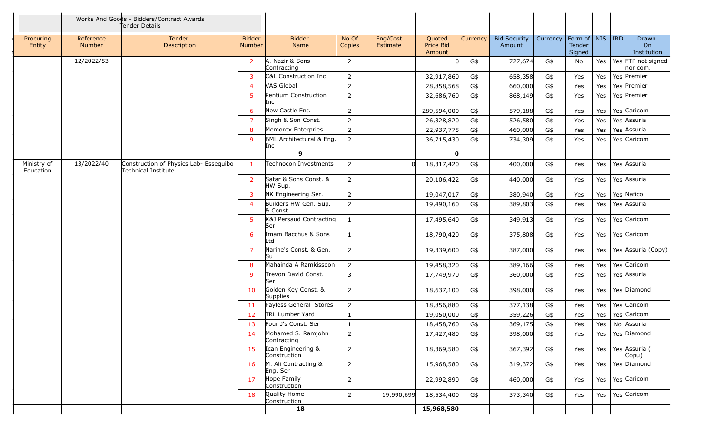|                          |                     | Works And Goods - Bidders/Contract Awards<br>Tender Details   |                                |                                    |                 |                      |                                      |          |                               |          |                                         |     |                                |
|--------------------------|---------------------|---------------------------------------------------------------|--------------------------------|------------------------------------|-----------------|----------------------|--------------------------------------|----------|-------------------------------|----------|-----------------------------------------|-----|--------------------------------|
| Procuring<br>Entity      | Reference<br>Number | <b>Tender</b><br>Description                                  | <b>Bidder</b><br><b>Number</b> | <b>Bidder</b><br>Name              | No Of<br>Copies | Eng/Cost<br>Estimate | Quoted<br><b>Price Bid</b><br>Amount | Currency | <b>Bid Security</b><br>Amount | Currency | Form of   NIS   IRD<br>Tender<br>Signed |     | Drawn<br>On<br>Institution     |
|                          | 12/2022/53          |                                                               | $\overline{2}$                 | A. Nazir & Sons<br>Contracting     | $\overline{2}$  |                      |                                      | G\$      | 727,674                       | G\$      | No                                      | Yes | Yes FTP not signed<br>nor com. |
|                          |                     |                                                               |                                | C&L Construction Inc               | $\overline{2}$  |                      | 32,917,860                           | G\$      | 658,358                       | G\$      | Yes                                     | Yes | Yes Premier                    |
|                          |                     |                                                               | ⊿                              | VAS Global                         | $\overline{2}$  |                      | 28,858,568                           | G\$      | 660,000                       | G\$      | Yes                                     | Yes | Yes Premier                    |
|                          |                     |                                                               | 5                              | Pentium Construction<br>Inc        | $\overline{2}$  |                      | 32,686,760                           | G\$      | 868,149                       | G\$      | Yes                                     | Yes | Yes Premier                    |
|                          |                     |                                                               | -6                             | New Castle Ent.                    | $\overline{2}$  |                      | 289,594,000                          | G\$      | 579,188                       | G\$      | Yes                                     | Yes | Yes Caricom                    |
|                          |                     |                                                               | -7                             | Singh & Son Const.                 | 2               |                      | 26,328,820                           | G\$      | 526,580                       | G\$      | Yes                                     | Yes | Yes Assuria                    |
|                          |                     |                                                               | 8                              | Memorex Enterpries                 | 2               |                      | 22,937,775                           | G\$      | 460,000                       | G\$      | Yes                                     | Yes | Yes Assuria                    |
|                          |                     |                                                               | -9                             | BML Architectural & Eng.<br>Inc    | 2               |                      | 36,715,430                           | G\$      | 734,309                       | G\$      | Yes                                     | Yes | Yes Caricom                    |
|                          |                     |                                                               |                                | $\mathbf{9}$                       |                 |                      | $\mathbf{o}$                         |          |                               |          |                                         |     |                                |
| Ministry of<br>Education | 13/2022/40          | Construction of Physics Lab- Essequibo<br>Technical Institute | -1                             | Technocon Investments              | 2               |                      | 18,317,420                           | G\$      | 400,000                       | G\$      | Yes                                     | Yes | Yes Assuria                    |
|                          |                     |                                                               | 2                              | Satar & Sons Const. &<br>HW Sup.   | $\overline{2}$  |                      | 20,106,422                           | G\$      | 440,000                       | G\$      | Yes                                     | Yes | Yes Assuria                    |
|                          |                     |                                                               | 3                              | NK Engineering Ser.                | 2               |                      | 19,047,017                           | G\$      | 380,940                       | G\$      | Yes                                     | Yes | Yes Nafico                     |
|                          |                     |                                                               | ⊿                              | Builders HW Gen. Sup.<br>& Const   | 2               |                      | 19,490,160                           | G\$      | 389,803                       | G\$      | Yes                                     | Yes | Yes Assuria                    |
|                          |                     |                                                               | 5                              | K&J Persaud Contracting<br>Ser     | $\mathbf{1}$    |                      | 17,495,640                           | G\$      | 349,913                       | G\$      | Yes                                     | Yes | Yes Caricom                    |
|                          |                     |                                                               | 6                              | Imam Bacchus & Sons<br>Ltd         | 1               |                      | 18,790,420                           | G\$      | 375,808                       | G\$      | Yes                                     | Yes | Yes Caricom                    |
|                          |                     |                                                               | $\overline{7}$                 | Narine's Const. & Gen.<br>Su       | $\overline{2}$  |                      | 19,339,600                           | G\$      | 387,000                       | G\$      | Yes                                     | Yes | Yes Assuria (Copy)             |
|                          |                     |                                                               | 8                              | Mahainda A Ramkissoon              | $\overline{2}$  |                      | 19,458,320                           | G\$      | 389,166                       | G\$      | Yes                                     | Yes | Yes Caricom                    |
|                          |                     |                                                               | <sub>9</sub>                   | Trevon David Const.<br>Ser         | 3               |                      | 17,749,970                           | G\$      | 360,000                       | G\$      | Yes                                     | Yes | Yes Assuria                    |
|                          |                     |                                                               | 10                             | Golden Key Const. &<br>Supplies    | 2               |                      | 18,637,100                           | G\$      | 398,000                       | G\$      | Yes                                     | Yes | Yes Diamond                    |
|                          |                     |                                                               | 11                             | Payless General Stores             | $\overline{2}$  |                      | 18,856,880                           | G\$      | 377,138                       | G\$      | Yes                                     | Yes | Yes Caricom                    |
|                          |                     |                                                               | 12                             | <b>TRL Lumber Yard</b>             | $\mathbf{1}$    |                      | 19,050,000                           | G\$      | 359,226                       | G\$      | Yes                                     | Yes | Yes Caricom                    |
|                          |                     |                                                               | 13                             | Four J's Const. Ser                | -1              |                      | 18,458,760                           | G\$      | 369,175                       | G\$      | Yes                                     | Yes | No Assuria                     |
|                          |                     |                                                               | 14                             | Mohamed S. Ramjohn<br>Contracting  | $\overline{2}$  |                      | 17,427,480                           | G\$      | 398,000                       | G\$      | Yes                                     |     | Yes   Yes Diamond              |
|                          |                     |                                                               | 15                             | Ican Engineering &<br>Construction | $\overline{2}$  |                      | 18,369,580                           | G\$      | 367,392                       | G\$      | Yes                                     |     | Yes   Yes Assuria (<br>Copu)   |
|                          |                     |                                                               | 16                             | M. Ali Contracting &<br>Eng. Ser   | $\overline{2}$  |                      | 15,968,580                           | G\$      | 319,372                       | G\$      | Yes                                     |     | Yes   Yes Diamond              |
|                          |                     |                                                               | 17                             | Hope Family<br>Construction        | $\overline{2}$  |                      | 22,992,890                           | G\$      | 460,000                       | G\$      | Yes                                     |     | Yes   Yes   Caricom            |
|                          |                     |                                                               | 18                             | Quality Home<br>Construction       | $\overline{2}$  | 19,990,699           | 18,534,400                           | G\$      | 373,340                       | G\$      | Yes                                     |     | Yes   Yes   Caricom            |
|                          |                     |                                                               |                                | 18                                 |                 |                      | 15,968,580                           |          |                               |          |                                         |     |                                |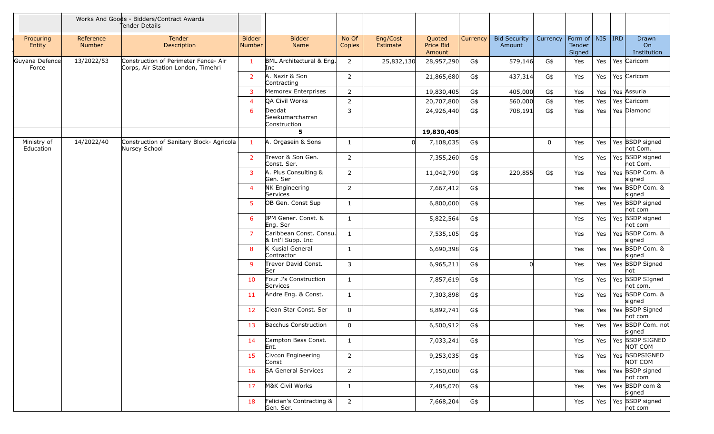|                          |                     | Works And Goods - Bidders/Contract Awards<br>Tender Details                |                                |                                              |                 |                      |                               |          |                               |             |                                         |         |                                     |
|--------------------------|---------------------|----------------------------------------------------------------------------|--------------------------------|----------------------------------------------|-----------------|----------------------|-------------------------------|----------|-------------------------------|-------------|-----------------------------------------|---------|-------------------------------------|
| Procuring<br>Entity      | Reference<br>Number | <b>Tender</b><br>Description                                               | <b>Bidder</b><br><b>Number</b> | <b>Bidder</b><br>Name                        | No Of<br>Copies | Eng/Cost<br>Estimate | Quoted<br>Price Bid<br>Amount | Currency | <b>Bid Security</b><br>Amount | Currency    | Form of   NIS   IRD<br>Tender<br>Signed |         | <b>Drawn</b><br>On<br>Institution   |
| Guyana Defence<br>Force  | 13/2022/53          | Construction of Perimeter Fence- Air<br>Corps, Air Station London, Timehri | $\mathbf{1}$                   | BML Architectural & Eng.<br>Inc              | $\overline{2}$  | 25,832,130           | 28,957,290                    | G\$      | 579,146                       | G\$         | Yes                                     | Yes     | Yes Caricom                         |
|                          |                     |                                                                            | 2                              | A. Nazir & Son<br>Contracting                | $\overline{2}$  |                      | 21,865,680                    | G\$      | 437,314                       | G\$         | Yes                                     | Yes     | Yes Caricom                         |
|                          |                     |                                                                            | 3                              | Memorex Enterprises                          | $\overline{2}$  |                      | 19,830,405                    | G\$      | 405,000                       | G\$         | Yes                                     | Yes     | Yes Assuria                         |
|                          |                     |                                                                            |                                | QA Civil Works                               | $\overline{2}$  |                      | 20,707,800                    | G\$      | 560,000                       | G\$         | Yes                                     | Yes     | Yes Caricom                         |
|                          |                     |                                                                            | 6                              | Deodat<br>Sewkumarcharran<br>Construction    | $\overline{3}$  |                      | 24,926,440                    | G\$      | 708,191                       | G\$         | Yes                                     | Yes     | Yes Diamond                         |
|                          |                     |                                                                            |                                | 5                                            |                 |                      | 19,830,405                    |          |                               |             |                                         |         |                                     |
| Ministry of<br>Education | 14/2022/40          | Construction of Sanitary Block- Agricola<br>Nursey School                  | $\mathbf{1}$                   | A. Orgasein & Sons                           | 1               |                      | 7,108,035                     | G\$      |                               | $\mathbf 0$ | Yes                                     | Yes     | Yes BSDP signed<br>not Com.         |
|                          |                     |                                                                            | 2                              | Trevor & Son Gen.<br>Const. Ser.             | 2               |                      | 7,355,260                     | G\$      |                               |             | Yes                                     | Yes     | Yes BSDP signed<br>not Com.         |
|                          |                     |                                                                            | 3                              | A. Plus Consulting &<br>Gen. Ser             | $\overline{2}$  |                      | 11,042,790                    | G\$      | 220,855                       | G\$         | Yes                                     | Yes     | Yes BSDP Com. &<br>signed           |
|                          |                     |                                                                            | $\overline{4}$                 | NK Engineering<br>Services                   | $\overline{2}$  |                      | 7,667,412                     | G\$      |                               |             | Yes                                     | Yes     | Yes BSDP Com. &<br>signed           |
|                          |                     |                                                                            | -5                             | OB Gen. Const Sup                            | 1               |                      | 6,800,000                     | G\$      |                               |             | Yes                                     | Yes     | Yes BSDP signed<br>not com          |
|                          |                     |                                                                            | 6                              | JPM Gener. Const. &<br>Eng. Ser              | 1               |                      | 5,822,564                     | G\$      |                               |             | Yes                                     | Yes     | Yes BSDP signed<br>not com          |
|                          |                     |                                                                            | $\overline{7}$                 | Caribbean Const. Consu.<br>& Int'l Supp. Inc | 1               |                      | 7,535,105                     | G\$      |                               |             | Yes                                     | Yes     | Yes BSDP Com. &<br>signed           |
|                          |                     |                                                                            | 8                              | K Kusial General<br>Contractor               | 1               |                      | 6,690,398                     | G\$      |                               |             | Yes                                     | Yes     | Yes BSDP Com. &<br>signed           |
|                          |                     |                                                                            | $\mathsf{q}$                   | Trevor David Const.<br>Ser                   | 3               |                      | 6,965,211                     | G\$      |                               |             | Yes                                     | Yes     | Yes BSDP Signed<br>not              |
|                          |                     |                                                                            | 10                             | Four J's Construction<br>Services            | $\mathbf{1}$    |                      | 7,857,619                     | G\$      |                               |             | Yes                                     | Yes     | Yes BSDP SIgned<br>not com.         |
|                          |                     |                                                                            | 11                             | Andre Eng. & Const.                          | 1               |                      | 7,303,898                     | G\$      |                               |             | Yes                                     | Yes     | Yes BSDP Com. &<br>signed           |
|                          |                     |                                                                            | 12                             | Clean Star Const. Ser                        | $\mathbf{0}$    |                      | 8,892,741                     | G\$      |                               |             | Yes                                     | Yes     | Yes BSDP Signed<br>not com          |
|                          |                     |                                                                            | 13                             | <b>Bacchus Construction</b>                  | $\mathbf 0$     |                      | 6,500,912                     | G\$      |                               |             | Yes                                     |         | Yes   Yes   BSDP Com. not<br>signed |
|                          |                     |                                                                            | 14                             | Campton Bess Const.<br>Ent.                  | $\mathbf{1}$    |                      | 7,033,241                     | G\$      |                               |             | Yes                                     | Yes     | Yes BSDP SIGNED<br>NOT COM          |
|                          |                     |                                                                            | 15                             | Civcon Engineering<br>Const                  | $\overline{2}$  |                      | 9,253,035                     | G\$      |                               |             | Yes                                     | Yes $ $ | Yes BSDPSIGNED<br>NOT COM           |
|                          |                     |                                                                            | 16                             | <b>SA General Services</b>                   | $\overline{2}$  |                      | 7,150,000                     | G\$      |                               |             | Yes                                     | Yes $ $ | Yes BSDP signed<br>not com          |
|                          |                     |                                                                            | 17                             | M&K Civil Works                              | $\mathbf{1}$    |                      | 7,485,070                     | G\$      |                               |             | Yes                                     | Yes     | Yes BSDP com &<br>signed            |
|                          |                     |                                                                            | 18                             | Felician's Contracting &<br>Gen. Ser.        | $\overline{2}$  |                      | 7,668,204                     | G\$      |                               |             | Yes                                     | Yes     | Yes BSDP signed<br>not com          |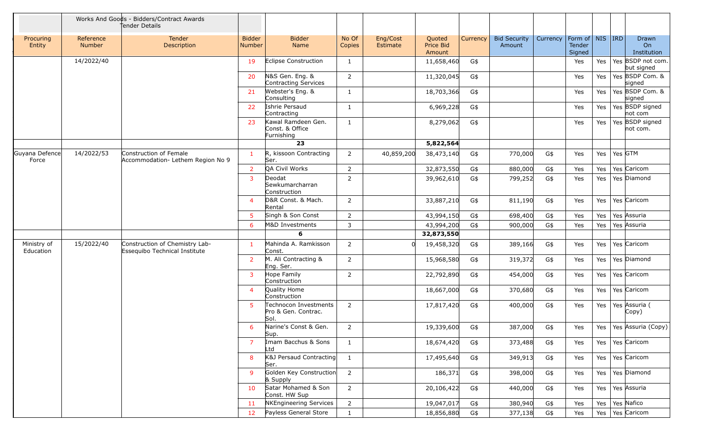|                          |                            | Works And Goods - Bidders/Contract Awards<br>Tender Details     |                         |                                                      |                 |                      |                               |          |                               |          |                                         |     |         |                                        |
|--------------------------|----------------------------|-----------------------------------------------------------------|-------------------------|------------------------------------------------------|-----------------|----------------------|-------------------------------|----------|-------------------------------|----------|-----------------------------------------|-----|---------|----------------------------------------|
| Procuring<br>Entity      | Reference<br><b>Number</b> | <b>Tender</b><br>Description                                    | <b>Bidder</b><br>Number | <b>Bidder</b><br>Name                                | No Of<br>Copies | Eng/Cost<br>Estimate | Quoted<br>Price Bid<br>Amount | Currency | <b>Bid Security</b><br>Amount | Currency | Form of   NIS   IRD<br>Tender<br>Signed |     |         | Drawn<br>O <sub>n</sub><br>Institution |
|                          | 14/2022/40                 |                                                                 | 19                      | <b>Eclipse Construction</b>                          | -1              |                      | 11,658,460                    | G\$      |                               |          | Yes                                     | Yes |         | Yes BSDP not com.<br>but signed        |
|                          |                            |                                                                 | 20                      | N&S Gen. Eng. &<br>Contracting Services              | $\overline{2}$  |                      | 11,320,045                    | G\$      |                               |          | Yes                                     | Yes |         | Yes BSDP Com. &<br>signed              |
|                          |                            |                                                                 | 21                      | Webster's Eng. &<br>Consulting                       | 1               |                      | 18,703,366                    | G\$      |                               |          | Yes                                     | Yes |         | Yes BSDP Com. &<br>signed              |
|                          |                            |                                                                 | 22                      | Ishrie Persaud<br>Contracting                        | 1               |                      | 6,969,228                     | G\$      |                               |          | Yes                                     | Yes |         | Yes BSDP signed<br>not com             |
|                          |                            |                                                                 | 23                      | Kawal Ramdeen Gen.<br>Const. & Office<br>Furnishing  | $\mathbf{1}$    |                      | 8,279,062                     | G\$      |                               |          | Yes                                     | Yes |         | Yes BSDP signed<br>not com.            |
|                          |                            |                                                                 |                         | 23                                                   |                 |                      | 5,822,564                     |          |                               |          |                                         |     |         |                                        |
| Guyana Defence<br>Force  | 14/2022/53                 | Construction of Female<br>Accommodation- Lethem Region No 9     | $\mathbf{1}$            | R, kissoon Contracting<br>Ser.                       | $\overline{2}$  | 40,859,200           | 38,473,140                    | G\$      | 770,000                       | G\$      | Yes                                     | Yes | Yes GTM |                                        |
|                          |                            |                                                                 | 2                       | QA Civil Works                                       | $\overline{2}$  |                      | 32,873,550                    | G\$      | 880,000                       | G\$      | Yes                                     | Yes |         | Yes Caricom                            |
|                          |                            |                                                                 | 3                       | Deodat<br>Sewkumarcharran<br>Construction            | $\overline{2}$  |                      | 39,962,610                    | G\$      | 799,252                       | G\$      | Yes                                     | Yes |         | Yes Diamond                            |
|                          |                            |                                                                 | $\boldsymbol{\Delta}$   | D&R Const. & Mach.<br>Rental                         | $\overline{2}$  |                      | 33,887,210                    | G\$      | 811,190                       | G\$      | Yes                                     | Yes |         | Yes Caricom                            |
|                          |                            |                                                                 | 5                       | Singh & Son Const                                    | $\overline{2}$  |                      | 43,994,150                    | G\$      | 698,400                       | G\$      | Yes                                     | Yes |         | Yes Assuria                            |
|                          |                            |                                                                 | -6                      | <b>M&amp;D Investments</b>                           | 3               |                      | 43,994,200                    | G\$      | 900,000                       | G\$      | Yes                                     | Yes |         | Yes Assuria                            |
|                          |                            |                                                                 |                         | 6                                                    |                 |                      | 32,873,550                    |          |                               |          |                                         |     |         |                                        |
| Ministry of<br>Education | 15/2022/40                 | Construction of Chemistry Lab-<br>Essequibo Technical Institute | -1                      | Mahinda A. Ramkisson<br>Const.                       | 2               |                      | 19,458,320                    | G\$      | 389,166                       | G\$      | Yes                                     | Yes |         | Yes Caricom                            |
|                          |                            |                                                                 | 2                       | M. Ali Contracting &<br>Eng. Ser.                    | 2               |                      | 15,968,580                    | G\$      | 319,372                       | G\$      | Yes                                     | Yes |         | Yes Diamond                            |
|                          |                            |                                                                 | 3                       | Hope Family<br>Construction                          | $\overline{2}$  |                      | 22,792,890                    | G\$      | 454,000                       | G\$      | Yes                                     | Yes |         | Yes Caricom                            |
|                          |                            |                                                                 | ⊿                       | Quality Home<br>Construction                         |                 |                      | 18,667,000                    | G\$      | 370,680                       | G\$      | Yes                                     | Yes |         | Yes Caricom                            |
|                          |                            |                                                                 | 5                       | Technocon Investments<br>Pro & Gen. Contrac.<br>Sol. | $\overline{2}$  |                      | 17,817,420                    | G\$      | 400,000                       | G\$      | Yes                                     | Yes |         | Yes Assuria (<br>Copy)                 |
|                          |                            |                                                                 | 6                       | Narine's Const & Gen.<br>Sup.                        | 2               |                      | 19,339,600                    | G\$      | 387,000                       | G\$      | Yes                                     |     |         | Yes   Yes Assuria (Copy)               |
|                          |                            |                                                                 | $\overline{7}$          | Imam Bacchus & Sons<br>Ltd                           | $\mathbf{1}$    |                      | 18,674,420                    | G\$      | 373,488                       | G\$      | Yes                                     | Yes |         | Yes Caricom                            |
|                          |                            |                                                                 | 8                       | K&J Persaud Contracting<br>Ser.                      | $\mathbf{1}$    |                      | 17,495,640                    | G\$      | 349,913                       | G\$      | Yes                                     |     |         | Yes   Yes   Caricom                    |
|                          |                            |                                                                 | 9                       | Golden Key Construction<br>& Supply                  | $\overline{2}$  |                      | 186,371                       | G\$      | 398,000                       | G\$      | Yes                                     |     |         | Yes   Yes Diamond                      |
|                          |                            |                                                                 | 10                      | Satar Mohamed & Son<br>Const. HW Sup                 | $\overline{2}$  |                      | 20,106,422                    | G\$      | 440,000                       | G\$      | Yes                                     |     |         | Yes   Yes   Assuria                    |
|                          |                            |                                                                 | 11                      | NKEngineering Services                               | $2^{\circ}$     |                      | 19,047,017                    | G\$      | 380,940                       | G\$      | Yes                                     |     |         | Yes   Yes Nafico                       |
|                          |                            |                                                                 | 12                      | Payless General Store                                | $\mathbf{1}$    |                      | 18,856,880                    | G\$      | 377,138                       | G\$      | Yes                                     |     |         | Yes   Yes $\sqrt{C}$ Caricom           |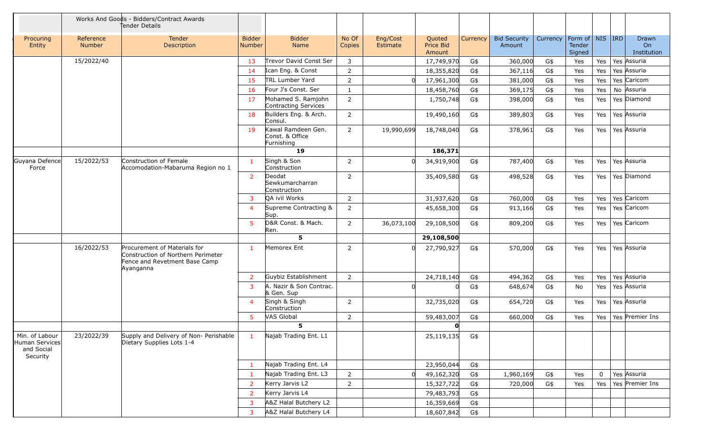|                                                            |                     | Works And Goods - Bidders/Contract Awards<br>Tender Details                                                      |                                |                                                     |                 |                      |                                      |          |                               |          |                                     |     |                            |
|------------------------------------------------------------|---------------------|------------------------------------------------------------------------------------------------------------------|--------------------------------|-----------------------------------------------------|-----------------|----------------------|--------------------------------------|----------|-------------------------------|----------|-------------------------------------|-----|----------------------------|
| Procuring<br>Entity                                        | Reference<br>Number | <b>Tender</b><br>Description                                                                                     | <b>Bidder</b><br><b>Number</b> | <b>Bidder</b><br>Name                               | No Of<br>Copies | Eng/Cost<br>Estimate | Quoted<br><b>Price Bid</b><br>Amount | Currency | <b>Bid Security</b><br>Amount | Currency | Form of NIS IRD<br>Tender<br>Signed |     | Drawn<br>On<br>Institution |
|                                                            | 15/2022/40          |                                                                                                                  | 13                             | Trevor David Const Ser                              | 3               |                      | 17,749,970                           | G\$      | 360,000                       | G\$      | Yes                                 | Yes | Yes Assuria                |
|                                                            |                     |                                                                                                                  | 14                             | Ican Eng. & Const                                   | $\overline{2}$  |                      | 18,355,820                           | G\$      | 367,116                       | G\$      | Yes                                 | Yes | Yes Assuria                |
|                                                            |                     |                                                                                                                  | 15                             | <b>TRL Lumber Yard</b>                              | 2               |                      | 17,961,300                           | G\$      | 381,000                       | G\$      | Yes                                 | Yes | Yes Caricom                |
|                                                            |                     |                                                                                                                  | 16                             | Four J's Const. Ser                                 | 1               |                      | 18,458,760                           | G\$      | 369,175                       | G\$      | Yes                                 | Yes | No Assuria                 |
|                                                            |                     |                                                                                                                  | 17                             | Mohamed S. Ramjohn<br>Contracting Services          | $\overline{2}$  |                      | 1,750,748                            | G\$      | 398,000                       | G\$      | Yes                                 | Yes | Yes Diamond                |
|                                                            |                     |                                                                                                                  | 18                             | Builders Eng. & Arch.<br>Consul.                    | $\overline{2}$  |                      | 19,490,160                           | G\$      | 389,803                       | G\$      | Yes                                 | Yes | Yes Assuria                |
|                                                            |                     |                                                                                                                  | 19                             | Kawal Ramdeen Gen.<br>Const. & Office<br>Furnishing | $\overline{2}$  | 19,990,699           | 18,748,040                           | G\$      | 378,961                       | G\$      | Yes                                 | Yes | Yes Assuria                |
|                                                            |                     |                                                                                                                  |                                | 19                                                  |                 |                      | 186,371                              |          |                               |          |                                     |     |                            |
| Guyana Defence<br>Force                                    | 15/2022/53          | Construction of Female<br>Accomodation-Mabaruma Region no 1                                                      | $\mathbf{1}$                   | Singh & Son<br>Construction                         | 2               |                      | 34,919,900                           | G\$      | 787,400                       | G\$      | Yes                                 | Yes | Yes Assuria                |
|                                                            |                     |                                                                                                                  | 2                              | Deodat<br>Sewkumarcharran<br>Construction           | 2               |                      | 35,409,580                           | G\$      | 498,528                       | G\$      | Yes                                 | Yes | Yes Diamond                |
|                                                            |                     |                                                                                                                  | 3                              | QA ivil Works                                       | 2               |                      | 31,937,620                           | G\$      | 760,000                       | G\$      | Yes                                 | Yes | Yes Caricom                |
|                                                            |                     |                                                                                                                  | $\boldsymbol{\Delta}$          | Supreme Contracting &<br>Sup.                       | $\overline{2}$  |                      | 45,658,300                           | G\$      | 913,166                       | G\$      | Yes                                 | Yes | Yes Caricom                |
|                                                            |                     |                                                                                                                  | 5                              | D&R Const. & Mach.<br>Ren.                          | $\overline{2}$  | 36,073,100           | 29,108,500                           | G\$      | 809,200                       | G\$      | Yes                                 | Yes | Yes Caricom                |
|                                                            |                     |                                                                                                                  |                                | 5                                                   |                 |                      | 29,108,500                           |          |                               |          |                                     |     |                            |
|                                                            | 16/2022/53          | Procurement of Materials for<br>Construction of Northern Perimeter<br>Fence and Revetment Base Camp<br>Ayanganna | $\mathbf{1}$                   | Memorex Ent                                         | 2               | n.                   | 27,790,927                           | G\$      | 570,000                       | G\$      | Yes                                 | Yes | Yes Assuria                |
|                                                            |                     |                                                                                                                  | 2                              | Guybiz Establishment                                | $\overline{2}$  |                      | 24,718,140                           | G\$      | 494,362                       | G\$      | Yes                                 | Yes | Yes Assuria                |
|                                                            |                     |                                                                                                                  | 3                              | A. Nazir & Son Contrac.<br>& Gen. Sup               |                 |                      |                                      | G\$      | 648,674                       | G\$      | No                                  | Yes | Yes Assuria                |
|                                                            |                     |                                                                                                                  | $\boldsymbol{4}$               | Singh & Singh<br>Construction                       | 2               |                      | 32,735,020                           | G\$      | 654,720                       | G\$      | Yes                                 | Yes | Yes Assuria                |
|                                                            |                     |                                                                                                                  | 5                              | <b>VAS Global</b>                                   | 2               |                      | 59,483,007                           | G\$      | 660,000                       | G\$      | Yes                                 | Yes | Yes Premier Ins            |
|                                                            |                     |                                                                                                                  |                                | 5                                                   |                 |                      | $\mathbf{O}$                         |          |                               |          |                                     |     |                            |
| Min. of Labour<br>Human Services<br>and Social<br>Security | 23/2022/39          | Supply and Delivery of Non- Perishable<br>Dietary Supplies Lots 1-4                                              | $\overline{1}$                 | Najab Trading Ent. L1                               |                 |                      | 25,119,135                           | G\$      |                               |          |                                     |     |                            |
|                                                            |                     |                                                                                                                  | - 1                            | Najab Trading Ent. L4                               |                 |                      | 23,950,044                           | G\$      |                               |          |                                     |     |                            |
|                                                            |                     |                                                                                                                  | -1                             | Najab Trading Ent. L3                               | $\overline{2}$  | $\Omega$             | 49,162,320                           | G\$      | 1,960,169                     | G\$      | Yes                                 | 0   | Yes Assuria                |
|                                                            |                     |                                                                                                                  | 2                              | Kerry Jarvis L2                                     | $\overline{2}$  |                      | 15,327,722                           | G\$      | 720,000                       | G\$      | Yes                                 | Yes | Yes Premier Ins            |
|                                                            |                     |                                                                                                                  | 2                              | Kerry Jarvis L4                                     |                 |                      | 79,483,793                           | G\$      |                               |          |                                     |     |                            |
|                                                            |                     |                                                                                                                  | 3                              | A&Z Halal Butchery L2                               |                 |                      | 16,359,669                           | G\$      |                               |          |                                     |     |                            |
|                                                            |                     |                                                                                                                  | 3                              | A&Z Halal Butchery L4                               |                 |                      | 18,607,842                           | G\$      |                               |          |                                     |     |                            |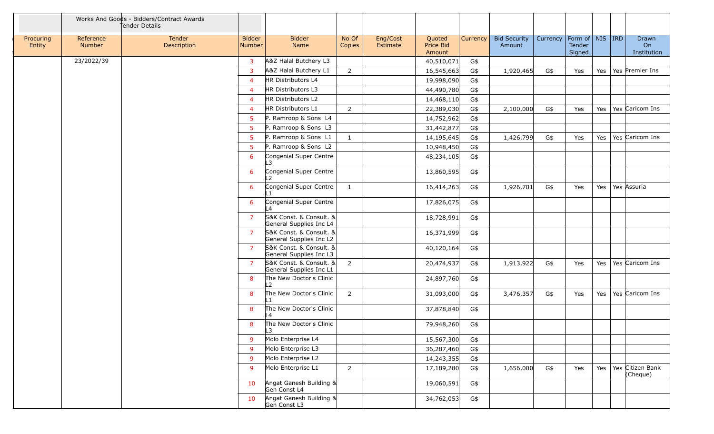|                     |                     | Works And Goods - Bidders/Contract Awards<br>Tender Details |                          |                                                    |                 |                      |                               |          |                               |          |                                         |     |                              |
|---------------------|---------------------|-------------------------------------------------------------|--------------------------|----------------------------------------------------|-----------------|----------------------|-------------------------------|----------|-------------------------------|----------|-----------------------------------------|-----|------------------------------|
| Procuring<br>Entity | Reference<br>Number | Tender<br>Description                                       | <b>Bidder</b><br>Number  | <b>Bidder</b><br>Name                              | No Of<br>Copies | Eng/Cost<br>Estimate | Quoted<br>Price Bid<br>Amount | Currency | <b>Bid Security</b><br>Amount | Currency | Form of   NIS   IRD<br>Tender<br>Signed |     | Drawn<br>On<br>Institution   |
|                     | 23/2022/39          |                                                             | 3                        | A&Z Halal Butchery L3                              |                 |                      | 40,510,071                    | G\$      |                               |          |                                         |     |                              |
|                     |                     |                                                             | -3                       | A&Z Halal Butchery L1                              | $\overline{2}$  |                      | 16,545,663                    | G\$      | 1,920,465                     | G\$      | Yes                                     | Yes | Yes Premier Ins              |
|                     |                     |                                                             | $\overline{\mathcal{A}}$ | HR Distributors L4                                 |                 |                      | 19,998,090                    | G\$      |                               |          |                                         |     |                              |
|                     |                     |                                                             | $\overline{4}$           | HR Distributors L3                                 |                 |                      | 44,490,780                    | G\$      |                               |          |                                         |     |                              |
|                     |                     |                                                             | $\overline{4}$           | HR Distributors L2                                 |                 |                      | 14,468,110                    | G\$      |                               |          |                                         |     |                              |
|                     |                     |                                                             | $\overline{4}$           | HR Distributors L1                                 | $\overline{2}$  |                      | 22,389,030                    | G\$      | 2,100,000                     | G\$      | Yes                                     | Yes | Yes Caricom Ins              |
|                     |                     |                                                             | -5                       | P. Ramroop & Sons L4                               |                 |                      | 14,752,962                    | G\$      |                               |          |                                         |     |                              |
|                     |                     |                                                             | -5                       | P. Ramroop & Sons L3                               |                 |                      | 31,442,877                    | G\$      |                               |          |                                         |     |                              |
|                     |                     |                                                             | -5                       | P. Ramroop & Sons L1                               | $\mathbf{1}$    |                      | 14,195,645                    | G\$      | 1,426,799                     | G\$      | Yes                                     | Yes | Yes Caricom Ins              |
|                     |                     |                                                             | -5                       | P. Ramroop & Sons L2                               |                 |                      | 10,948,450                    | G\$      |                               |          |                                         |     |                              |
|                     |                     |                                                             | 6                        | Congenial Super Centre<br>ר ו                      |                 |                      | 48,234,105                    | G\$      |                               |          |                                         |     |                              |
|                     |                     |                                                             | 6                        | Congenial Super Centre<br>$\overline{2}$           |                 |                      | 13,860,595                    | G\$      |                               |          |                                         |     |                              |
|                     |                     |                                                             | 6                        | Congenial Super Centre                             | $\mathbf{1}$    |                      | 16,414,263                    | G\$      | 1,926,701                     | G\$      | Yes                                     | Yes | Yes Assuria                  |
|                     |                     |                                                             | 6                        | Congenial Super Centre<br>L4                       |                 |                      | 17,826,075                    | G\$      |                               |          |                                         |     |                              |
|                     |                     |                                                             | 7                        | S&K Const. & Consult. &<br>General Supplies Inc L4 |                 |                      | 18,728,991                    | G\$      |                               |          |                                         |     |                              |
|                     |                     |                                                             | $\overline{7}$           | S&K Const. & Consult. &<br>General Supplies Inc L2 |                 |                      | 16,371,999                    | G\$      |                               |          |                                         |     |                              |
|                     |                     |                                                             | -7                       | S&K Const. & Consult. &<br>General Supplies Inc L3 |                 |                      | 40,120,164                    | G\$      |                               |          |                                         |     |                              |
|                     |                     |                                                             | -7                       | S&K Const. & Consult. &<br>General Supplies Inc L1 | $\overline{2}$  |                      | 20,474,937                    | G\$      | 1,913,922                     | G\$      | Yes                                     | Yes | Yes Caricom Ins              |
|                     |                     |                                                             | 8                        | The New Doctor's Clinic<br>L2                      |                 |                      | 24,897,760                    | G\$      |                               |          |                                         |     |                              |
|                     |                     |                                                             | 8                        | The New Doctor's Clinic<br>∣ 1                     | 2               |                      | 31,093,000                    | G\$      | 3,476,357                     | G\$      | Yes                                     | Yes | Yes Caricom Ins              |
|                     |                     |                                                             | 8                        | The New Doctor's Clinic<br>L4                      |                 |                      | 37,878,840                    | G\$      |                               |          |                                         |     |                              |
|                     |                     |                                                             | 8                        | The New Doctor's Clinic<br>L3                      |                 |                      | 79,948,260                    | G\$      |                               |          |                                         |     |                              |
|                     |                     |                                                             | $\mathsf{q}$             | Molo Enterprise L4                                 |                 |                      | 15,567,300                    | $G\$     |                               |          |                                         |     |                              |
|                     |                     |                                                             | -9                       | Molo Enterprise L3                                 |                 |                      | 36,287,460                    | G\$      |                               |          |                                         |     |                              |
|                     |                     |                                                             | -9                       | Molo Enterprise L2                                 |                 |                      | 14,243,355                    | G\$      |                               |          |                                         |     |                              |
|                     |                     |                                                             | -9                       | Molo Enterprise L1                                 | $\overline{2}$  |                      | 17,189,280                    | G\$      | 1,656,000                     | G\$      | Yes                                     | Yes | Yes Citizen Bank<br>(Cheque) |
|                     |                     |                                                             | 10                       | Angat Ganesh Building &<br>Gen Const L4            |                 |                      | 19,060,591                    | G\$      |                               |          |                                         |     |                              |
|                     |                     |                                                             | 10                       | Angat Ganesh Building &<br>Gen Const L3            |                 |                      | 34,762,053                    | G\$      |                               |          |                                         |     |                              |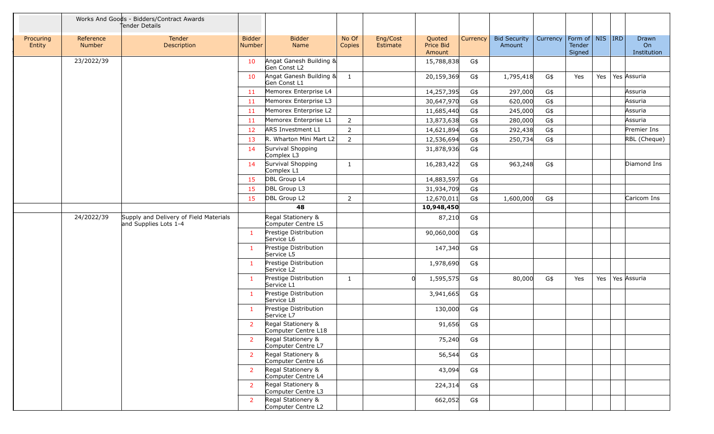|                     |                     | Works And Goods - Bidders/Contract Awards<br>tender Details     |                                |                                           |                 |                      |                               |                 |                               |          |                                         |     |                                               |
|---------------------|---------------------|-----------------------------------------------------------------|--------------------------------|-------------------------------------------|-----------------|----------------------|-------------------------------|-----------------|-------------------------------|----------|-----------------------------------------|-----|-----------------------------------------------|
| Procuring<br>Entity | Reference<br>Number | Tender<br>Description                                           | <b>Bidder</b><br><b>Number</b> | <b>Bidder</b><br>Name                     | No Of<br>Copies | Eng/Cost<br>Estimate | Quoted<br>Price Bid<br>Amount | <b>Currency</b> | <b>Bid Security</b><br>Amount | Currency | Form of   NIS   IRD<br>Tender<br>Signed |     | <b>Drawn</b><br>O <sub>n</sub><br>Institution |
|                     | 23/2022/39          |                                                                 | 10                             | Angat Ganesh Building &<br>Gen Const L2   |                 |                      | 15,788,838                    | G\$             |                               |          |                                         |     |                                               |
|                     |                     |                                                                 | 10                             | Angat Ganesh Building &<br>Gen Const L1   | 1               |                      | 20,159,369                    | G\$             | 1,795,418                     | G\$      | Yes                                     | Yes | Yes Assuria                                   |
|                     |                     |                                                                 | -11                            | Memorex Enterprise L4                     |                 |                      | 14,257,395                    | G\$             | 297,000                       | G\$      |                                         |     | Assuria                                       |
|                     |                     |                                                                 | -11                            | Memorex Enterprise L3                     |                 |                      | 30,647,970                    | G\$             | 620,000                       | G\$      |                                         |     | Assuria                                       |
|                     |                     |                                                                 | -11                            | Memorex Enterprise L2                     |                 |                      | 11,685,440                    | G\$             | 245,000                       | G\$      |                                         |     | Assuria                                       |
|                     |                     |                                                                 | -11                            | Memorex Enterprise L1                     | $\overline{2}$  |                      | 13,873,638                    | G\$             | 280,000                       | G\$      |                                         |     | Assuria                                       |
|                     |                     |                                                                 | 12                             | <b>ARS Investment L1</b>                  | $\overline{2}$  |                      | 14,621,894                    | G\$             | 292,438                       | G\$      |                                         |     | Premier Ins                                   |
|                     |                     |                                                                 | -13                            | R. Wharton Mini Mart L2                   | $\overline{2}$  |                      | 12,536,694                    | G\$             | 250,734                       | G\$      |                                         |     | RBL (Cheque)                                  |
|                     |                     |                                                                 | 14                             | Survival Shopping<br>Complex L3           |                 |                      | 31,878,936                    | G\$             |                               |          |                                         |     |                                               |
|                     |                     |                                                                 | 14                             | Survival Shopping<br>Complex L1           | $\mathbf{1}$    |                      | 16,283,422                    | G\$             | 963,248                       | G\$      |                                         |     | Diamond Ins                                   |
|                     |                     |                                                                 | 15                             | DBL Group L4                              |                 |                      | 14,883,597                    | G\$             |                               |          |                                         |     |                                               |
|                     |                     |                                                                 | 15                             | DBL Group L3                              |                 |                      | 31,934,709                    | G\$             |                               |          |                                         |     |                                               |
|                     |                     |                                                                 | <b>15</b>                      | DBL Group L2                              | $\overline{2}$  |                      | 12,670,011                    | G\$             | 1,600,000                     | G\$      |                                         |     | Caricom Ins                                   |
|                     |                     |                                                                 |                                | 48                                        |                 |                      | 10,948,450                    |                 |                               |          |                                         |     |                                               |
|                     | 24/2022/39          | Supply and Delivery of Field Materials<br>and Supplies Lots 1-4 |                                | Regal Stationery &<br>Computer Centre L5  |                 |                      | 87,210                        | G\$             |                               |          |                                         |     |                                               |
|                     |                     |                                                                 | $\overline{1}$                 | Prestige Distribution<br>Service L6       |                 |                      | 90,060,000                    | G\$             |                               |          |                                         |     |                                               |
|                     |                     |                                                                 | -1                             | Prestige Distribution<br>Service L5       |                 |                      | 147,340                       | G\$             |                               |          |                                         |     |                                               |
|                     |                     |                                                                 | -1                             | Prestige Distribution<br>Service L2       |                 |                      | 1,978,690                     | G\$             |                               |          |                                         |     |                                               |
|                     |                     |                                                                 | $\mathbf{1}$                   | Prestige Distribution<br>Service L1       | $\mathbf{1}$    |                      | 1,595,575                     | G\$             | 80,000                        | G\$      | Yes                                     | Yes | Yes Assuria                                   |
|                     |                     |                                                                 | $\mathbf{1}$                   | Prestige Distribution<br>Service L8       |                 |                      | 3,941,665                     | G\$             |                               |          |                                         |     |                                               |
|                     |                     |                                                                 | $\mathbf{1}$                   | Prestige Distribution<br>Service L7       |                 |                      | 130,000                       | G\$             |                               |          |                                         |     |                                               |
|                     |                     |                                                                 | 2                              | Regal Stationery &<br>Computer Centre L18 |                 |                      | 91,656                        | G\$             |                               |          |                                         |     |                                               |
|                     |                     |                                                                 | $\overline{2}$                 | Regal Stationery &<br>Computer Centre L7  |                 |                      | 75,240                        | G\$             |                               |          |                                         |     |                                               |
|                     |                     |                                                                 | 2                              | Regal Stationery &<br>Computer Centre L6  |                 |                      | 56,544                        | $G$ \$          |                               |          |                                         |     |                                               |
|                     |                     |                                                                 | <sup>2</sup>                   | Regal Stationery &<br>Computer Centre L4  |                 |                      | 43,094                        | $G$ \$          |                               |          |                                         |     |                                               |
|                     |                     |                                                                 | $\overline{2}$                 | Regal Stationery &<br>Computer Centre L3  |                 |                      | 224,314                       | $G$ \$          |                               |          |                                         |     |                                               |
|                     |                     |                                                                 | <sup>2</sup>                   | Regal Stationery &<br>Computer Centre L2  |                 |                      | 662,052                       | G\$             |                               |          |                                         |     |                                               |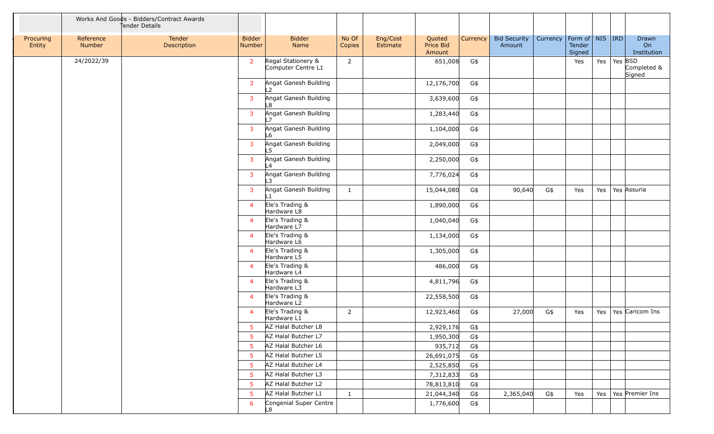|                     |                     | Works And Goods - Bidders/Contract Awards<br>tender Details |                                |                                          |                 |                      |                               |                 |                               |          |                                         |                             |                            |
|---------------------|---------------------|-------------------------------------------------------------|--------------------------------|------------------------------------------|-----------------|----------------------|-------------------------------|-----------------|-------------------------------|----------|-----------------------------------------|-----------------------------|----------------------------|
| Procuring<br>Entity | Reference<br>Number | Tender<br>Description                                       | <b>Bidder</b><br><b>Number</b> | <b>Bidder</b><br>Name                    | No Of<br>Copies | Eng/Cost<br>Estimate | Quoted<br>Price Bid<br>Amount | <b>Currency</b> | <b>Bid Security</b><br>Amount | Currency | Form of   NIS   IRD<br>Tender<br>Signed |                             | Drawn<br>On<br>Institution |
|                     | 24/2022/39          |                                                             | $\overline{2}$                 | Regal Stationery &<br>Computer Centre L1 | 2               |                      | 651,008                       | G\$             |                               |          | Yes                                     | Yes $\vert$ Yes $\vert$ BSD | Completed &<br>Signed      |
|                     |                     |                                                             | $\overline{\mathbf{3}}$        | Angat Ganesh Building<br>L2              |                 |                      | 12,176,700                    | G\$             |                               |          |                                         |                             |                            |
|                     |                     |                                                             | $\overline{\mathbf{3}}$        | Angat Ganesh Building<br>L8              |                 |                      | 3,639,600                     | G\$             |                               |          |                                         |                             |                            |
|                     |                     |                                                             | $\overline{\mathbf{3}}$        | Angat Ganesh Building<br>$\overline{7}$  |                 |                      | 1,283,440                     | G\$             |                               |          |                                         |                             |                            |
|                     |                     |                                                             | $\overline{\mathbf{3}}$        | Angat Ganesh Building<br>L6              |                 |                      | 1,104,000                     | G\$             |                               |          |                                         |                             |                            |
|                     |                     |                                                             | $\overline{\mathbf{3}}$        | Angat Ganesh Building<br>L5              |                 |                      | 2,049,000                     | G\$             |                               |          |                                         |                             |                            |
|                     |                     |                                                             | $\overline{\mathbf{3}}$        | Angat Ganesh Building<br>L4              |                 |                      | 2,250,000                     | $G\$            |                               |          |                                         |                             |                            |
|                     |                     |                                                             | $\overline{\mathbf{3}}$        | Angat Ganesh Building<br>L3              |                 |                      | 7,776,024                     | G\$             |                               |          |                                         |                             |                            |
|                     |                     |                                                             | $\overline{\mathbf{3}}$        | Angat Ganesh Building<br>$\overline{1}$  | $\mathbf{1}$    |                      | 15,044,080                    | G\$             | 90,640                        | G\$      | Yes                                     | Yes                         | Yes Assuria                |
|                     |                     |                                                             | $\overline{4}$                 | Ele's Trading &<br>Hardware L8           |                 |                      | 1,890,000                     | G\$             |                               |          |                                         |                             |                            |
|                     |                     |                                                             | $\overline{4}$                 | Ele's Trading &<br>Hardware L7           |                 |                      | 1,040,040                     | G\$             |                               |          |                                         |                             |                            |
|                     |                     |                                                             | $\overline{4}$                 | Ele's Trading &<br>Hardware L6           |                 |                      | 1,134,000                     | G\$             |                               |          |                                         |                             |                            |
|                     |                     |                                                             | $\overline{4}$                 | Ele's Trading &<br>Hardware L5           |                 |                      | 1,305,000                     | G\$             |                               |          |                                         |                             |                            |
|                     |                     |                                                             | $\overline{4}$                 | Ele's Trading &<br>Hardware L4           |                 |                      | 486,000                       | G\$             |                               |          |                                         |                             |                            |
|                     |                     |                                                             | $\overline{4}$                 | Ele's Trading &<br>Hardware L3           |                 |                      | 4,811,796                     | G\$             |                               |          |                                         |                             |                            |
|                     |                     |                                                             | $\overline{4}$                 | Ele's Trading &<br>Hardware L2           |                 |                      | 22,558,500                    | G\$             |                               |          |                                         |                             |                            |
|                     |                     |                                                             | $\overline{4}$                 | Ele's Trading &<br>Hardware L1           | $\overline{2}$  |                      | 12,923,460                    | G\$             | 27,000                        | G\$      | Yes                                     | Yes                         | Yes Caricom Ins            |
|                     |                     |                                                             | -5                             | AZ Halal Butcher L8                      |                 |                      | 2,929,176                     | G\$             |                               |          |                                         |                             |                            |
|                     |                     |                                                             | .5                             | AZ Halal Butcher L7                      |                 |                      | 1,950,300                     | G\$             |                               |          |                                         |                             |                            |
|                     |                     |                                                             | -5                             | AZ Halal Butcher L6                      |                 |                      | 935,712                       | G\$             |                               |          |                                         |                             |                            |
|                     |                     |                                                             | -5                             | AZ Halal Butcher L5                      |                 |                      | 26,691,075                    | G\$             |                               |          |                                         |                             |                            |
|                     |                     |                                                             | -5                             | AZ Halal Butcher L4                      |                 |                      | 2,525,850                     | G\$             |                               |          |                                         |                             |                            |
|                     |                     |                                                             | -5                             | AZ Halal Butcher L3                      |                 |                      | 7,312,833                     | G\$             |                               |          |                                         |                             |                            |
|                     |                     |                                                             | -5                             | AZ Halal Butcher L2                      |                 |                      | 78,813,810                    | G\$             |                               |          |                                         |                             |                            |
|                     |                     |                                                             | -5                             | AZ Halal Butcher L1                      | <sup>1</sup>    |                      | 21,044,340                    | G\$             | 2,365,040                     | G\$      | Yes                                     | Yes                         | Yes Premier Ins            |
|                     |                     |                                                             | 6                              | Congenial Super Centre<br>L8             |                 |                      | 1,776,600                     | G\$             |                               |          |                                         |                             |                            |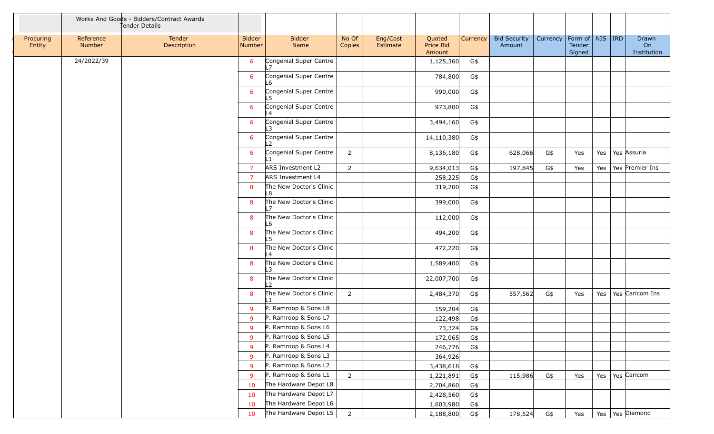|                     |                     | Works And Goods - Bidders/Contract Awards<br>Tender Details |                         |                                |                 |                      |                               |                 |                               |                                |                  |     |                            |
|---------------------|---------------------|-------------------------------------------------------------|-------------------------|--------------------------------|-----------------|----------------------|-------------------------------|-----------------|-------------------------------|--------------------------------|------------------|-----|----------------------------|
| Procuring<br>Entity | Reference<br>Number | Tender<br>Description                                       | <b>Bidder</b><br>Number | <b>Bidder</b><br>Name          | No Of<br>Copies | Eng/Cost<br>Estimate | Quoted<br>Price Bid<br>Amount | <b>Currency</b> | <b>Bid Security</b><br>Amount | Currency   Form of   NIS   IRD | Tender<br>Signed |     | Drawn<br>On<br>Institution |
|                     | 24/2022/39          |                                                             | 6                       | Congenial Super Centre<br>17   |                 |                      | 1,125,360                     | G\$             |                               |                                |                  |     |                            |
|                     |                     |                                                             | 6                       | Congenial Super Centre<br>L6   |                 |                      | 784,800                       | G\$             |                               |                                |                  |     |                            |
|                     |                     |                                                             | 6                       | Congenial Super Centre<br>L5   |                 |                      | 990,000                       | G\$             |                               |                                |                  |     |                            |
|                     |                     |                                                             | 6                       | Congenial Super Centre<br>L4   |                 |                      | 973,800                       | G\$             |                               |                                |                  |     |                            |
|                     |                     |                                                             | 6                       | Congenial Super Centre<br>۱3   |                 |                      | 3,494,160                     | G\$             |                               |                                |                  |     |                            |
|                     |                     |                                                             | 6                       | Congenial Super Centre<br>12   |                 |                      | 14,110,380                    | G\$             |                               |                                |                  |     |                            |
|                     |                     |                                                             | 6                       | Congenial Super Centre         | $\overline{2}$  |                      | 8,136,180                     | G\$             | 628,066                       | G\$                            | Yes              | Yes | Yes Assuria                |
|                     |                     |                                                             | -7                      | ARS Investment L2              | $\overline{2}$  |                      | 9,634,013                     | G\$             | 197,845                       | G\$                            | Yes              | Yes | Yes Premier Ins            |
|                     |                     |                                                             | -7                      | ARS Investment L4              |                 |                      | 258,225                       | G\$             |                               |                                |                  |     |                            |
|                     |                     |                                                             | 8                       | The New Doctor's Clinic<br>L8  |                 |                      | 319,200                       | G\$             |                               |                                |                  |     |                            |
|                     |                     |                                                             | 8                       | The New Doctor's Clinic<br>L7  |                 |                      | 399,000                       | G\$             |                               |                                |                  |     |                            |
|                     |                     |                                                             | 8                       | The New Doctor's Clinic<br>L6  |                 |                      | 112,000                       | G\$             |                               |                                |                  |     |                            |
|                     |                     |                                                             | 8                       | The New Doctor's Clinic<br>L5  |                 |                      | 494,200                       | G\$             |                               |                                |                  |     |                            |
|                     |                     |                                                             | 8                       | The New Doctor's Clinic<br>L4  |                 |                      | 472,220                       | G\$             |                               |                                |                  |     |                            |
|                     |                     |                                                             | 8                       | The New Doctor's Clinic<br>I 3 |                 |                      | 1,589,400                     | G\$             |                               |                                |                  |     |                            |
|                     |                     |                                                             | 8                       | The New Doctor's Clinic<br>L2  |                 |                      | 22,007,700                    | G\$             |                               |                                |                  |     |                            |
|                     |                     |                                                             | 8                       | The New Doctor's Clinic<br>l 1 | $\overline{2}$  |                      | 2,484,370                     | G\$             | 557,562                       | G\$                            | Yes              | Yes | Yes Caricom Ins            |
|                     |                     |                                                             | <b>q</b>                | P. Ramroop & Sons L8           |                 |                      | 159,204                       | G\$             |                               |                                |                  |     |                            |
|                     |                     |                                                             | -9                      | P. Ramroop & Sons L7           |                 |                      | 122,498                       | G\$             |                               |                                |                  |     |                            |
|                     |                     |                                                             | $\mathbf{Q}$            | P. Ramroop & Sons L6           |                 |                      | 73,324                        | G\$             |                               |                                |                  |     |                            |
|                     |                     |                                                             | 9                       | P. Ramroop & Sons L5           |                 |                      | 172,065                       | G\$             |                               |                                |                  |     |                            |
|                     |                     |                                                             | -9                      | P. Ramroop & Sons L4           |                 |                      | 246,776                       | G\$             |                               |                                |                  |     |                            |
|                     |                     |                                                             | -9                      | P. Ramroop & Sons L3           |                 |                      | 364,926                       |                 |                               |                                |                  |     |                            |
|                     |                     |                                                             | -9                      | P. Ramroop & Sons L2           |                 |                      | 3,438,618                     | G\$             |                               |                                |                  |     |                            |
|                     |                     |                                                             | -9                      | P. Ramroop & Sons L1           | $\overline{2}$  |                      | 1,221,891                     | G\$             | 115,986                       | G\$                            | Yes              | Yes | Yes Caricom                |
|                     |                     |                                                             | 10                      | The Hardware Depot L8          |                 |                      | 2,704,860                     | G\$             |                               |                                |                  |     |                            |
|                     |                     |                                                             | 10                      | The Hardware Depot L7          |                 |                      | 2,428,560                     | G\$             |                               |                                |                  |     |                            |
|                     |                     |                                                             | 10                      | The Hardware Depot L6          |                 |                      | 1,603,980                     | G\$             |                               |                                |                  |     |                            |
|                     |                     |                                                             | 10                      | The Hardware Depot L5          | $2\overline{ }$ |                      | 2,188,800                     | G\$             | 178,524                       | G\$                            | Yes              |     | Yes   Yes   Diamond        |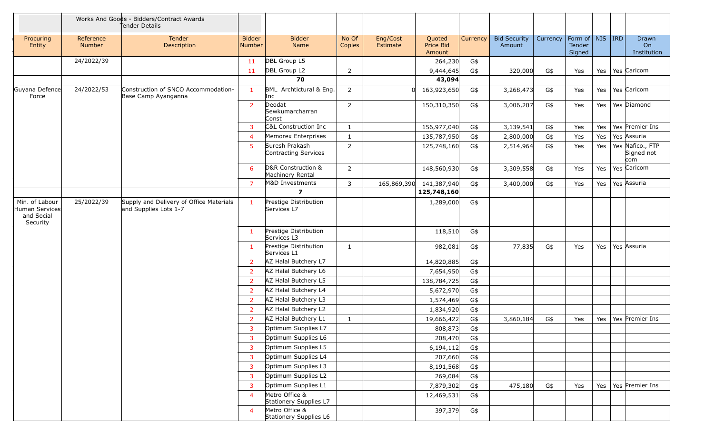|                                                            |                            | Works And Goods - Bidders/Contract Awards<br>tender Details      |                                |                                          |                 |                      |                               |          |                               |          |                                     |     |                                       |
|------------------------------------------------------------|----------------------------|------------------------------------------------------------------|--------------------------------|------------------------------------------|-----------------|----------------------|-------------------------------|----------|-------------------------------|----------|-------------------------------------|-----|---------------------------------------|
| Procuring<br>Entity                                        | Reference<br><b>Number</b> | <b>Tender</b><br>Description                                     | <b>Bidder</b><br><b>Number</b> | <b>Bidder</b><br>Name                    | No Of<br>Copies | Eng/Cost<br>Estimate | Quoted<br>Price Bid<br>Amount | Currency | <b>Bid Security</b><br>Amount | Currency | Form of NIS IRD<br>Tender<br>Signed |     | Drawn<br>On<br>Institution            |
|                                                            | 24/2022/39                 |                                                                  | 11                             | DBL Group L5                             |                 |                      | 264,230                       | G\$      |                               |          |                                     |     |                                       |
|                                                            |                            |                                                                  | 11                             | DBL Group L2                             | $\overline{2}$  |                      | 9,444,645                     | G\$      | 320,000                       | G\$      | Yes                                 |     | Yes   Yes   Caricom                   |
|                                                            |                            |                                                                  |                                | 70                                       |                 |                      | 43,094                        |          |                               |          |                                     |     |                                       |
| Guyana Defence<br>Force                                    | 24/2022/53                 | Construction of SNCO Accommodation-<br>Base Camp Ayanganna       | $\overline{1}$                 | BML Archtictural & Eng.<br>Inc           | 2               |                      | 163,923,650                   | G\$      | 3,268,473                     | G\$      | Yes                                 | Yes | Yes Caricom                           |
|                                                            |                            |                                                                  | $\overline{2}$                 | Deodat<br>Sewkumarcharran<br>Const       | $\overline{2}$  |                      | 150,310,350                   | G\$      | 3,006,207                     | G\$      | Yes                                 | Yes | Yes Diamond                           |
|                                                            |                            |                                                                  | З                              | C&L Construction Inc                     | 1               |                      | 156,977,040                   | G\$      | 3,139,541                     | G\$      | Yes                                 | Yes | Yes Premier Ins                       |
|                                                            |                            |                                                                  | -4                             | Memorex Enterprises                      | 1               |                      | 135,787,950                   | G\$      | 2,800,000                     | G\$      | Yes                                 | Yes | Yes Assuria                           |
|                                                            |                            |                                                                  | -5                             | Suresh Prakash<br>Contracting Services   | 2               |                      | 125,748,160                   | G\$      | 2,514,964                     | G\$      | Yes                                 | Yes | Yes Nafico., FTP<br>Signed not<br>com |
|                                                            |                            |                                                                  | 6                              | D&R Construction &<br>Machinery Rental   | $\overline{2}$  |                      | 148,560,930                   | G\$      | 3,309,558                     | G\$      | Yes                                 | Yes | Yes Caricom                           |
|                                                            |                            |                                                                  | -7                             | <b>M&amp;D Investments</b>               | 3               | 165,869,390          | 141,387,940                   | G\$      | 3,400,000                     | G\$      | Yes                                 | Yes | Yes Assuria                           |
|                                                            |                            |                                                                  |                                | $\overline{\mathbf{z}}$                  |                 |                      | 125,748,160                   |          |                               |          |                                     |     |                                       |
| Min. of Labour<br>Human Services<br>and Social<br>Security | 25/2022/39                 | Supply and Delivery of Office Materials<br>and Supplies Lots 1-7 | $\mathbf{1}$                   | Prestige Distribution<br>Services L7     |                 |                      | 1,289,000                     | G\$      |                               |          |                                     |     |                                       |
|                                                            |                            |                                                                  | $\mathbf{1}$                   | Prestige Distribution<br>Services L3     |                 |                      | 118,510                       | G\$      |                               |          |                                     |     |                                       |
|                                                            |                            |                                                                  | -1                             | Prestige Distribution<br>Services L1     | $\mathbf{1}$    |                      | 982,081                       | G\$      | 77,835                        | G\$      | Yes                                 | Yes | Yes Assuria                           |
|                                                            |                            |                                                                  | 2                              | AZ Halal Butchery L7                     |                 |                      | 14,820,885                    | G\$      |                               |          |                                     |     |                                       |
|                                                            |                            |                                                                  | -2                             | AZ Halal Butchery L6                     |                 |                      | 7,654,950                     | G\$      |                               |          |                                     |     |                                       |
|                                                            |                            |                                                                  | -2                             | AZ Halal Butchery L5                     |                 |                      | 138,784,725                   | G\$      |                               |          |                                     |     |                                       |
|                                                            |                            |                                                                  | 2                              | AZ Halal Butchery L4                     |                 |                      | 5,672,970                     | G\$      |                               |          |                                     |     |                                       |
|                                                            |                            |                                                                  | 2                              | AZ Halal Butchery L3                     |                 |                      | 1,574,469                     | G\$      |                               |          |                                     |     |                                       |
|                                                            |                            |                                                                  | -2                             | AZ Halal Butchery L2                     |                 |                      | 1,834,920                     | G\$      |                               |          |                                     |     |                                       |
|                                                            |                            |                                                                  |                                | AZ Halal Butchery L1                     | 1               |                      | 19,666,422                    | G\$      | 3,860,184                     | G\$      | Yes                                 | Yes | Yes Premier Ins                       |
|                                                            |                            |                                                                  | 3                              | Optimum Supplies L7                      |                 |                      | 808,873                       | G\$      |                               |          |                                     |     |                                       |
|                                                            |                            |                                                                  | 3                              | Optimum Supplies L6                      |                 |                      | 208,470                       | G\$      |                               |          |                                     |     |                                       |
|                                                            |                            |                                                                  | 3                              | Optimum Supplies L5                      |                 |                      | 6,194,112                     | G\$      |                               |          |                                     |     |                                       |
|                                                            |                            |                                                                  | 3                              | Optimum Supplies L4                      |                 |                      | 207,660                       | G\$      |                               |          |                                     |     |                                       |
|                                                            |                            |                                                                  | 3                              | Optimum Supplies L3                      |                 |                      | 8,191,568                     | G\$      |                               |          |                                     |     |                                       |
|                                                            |                            |                                                                  | 3                              | Optimum Supplies L2                      |                 |                      | 269,084                       | G\$      |                               |          |                                     |     |                                       |
|                                                            |                            |                                                                  |                                | Optimum Supplies L1                      |                 |                      | 7,879,302                     | G\$      | 475,180                       | G\$      | Yes                                 |     | Yes   Yes   Premier Ins               |
|                                                            |                            |                                                                  | $\boldsymbol{\Delta}$          | Metro Office &<br>Stationery Supplies L7 |                 |                      | 12,469,531                    | G\$      |                               |          |                                     |     |                                       |
|                                                            |                            |                                                                  | $\overline{4}$                 | Metro Office &<br>Stationery Supplies L6 |                 |                      | 397,379                       | G\$      |                               |          |                                     |     |                                       |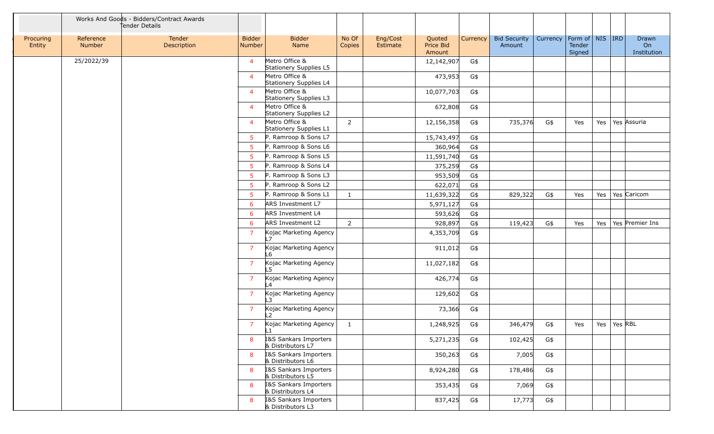|                     |                     | Works And Goods - Bidders/Contract Awards<br>tender Details |                         |                                                   |                 |                      |                               |          |                               |          |                                         |         |         |                            |
|---------------------|---------------------|-------------------------------------------------------------|-------------------------|---------------------------------------------------|-----------------|----------------------|-------------------------------|----------|-------------------------------|----------|-----------------------------------------|---------|---------|----------------------------|
| Procuring<br>Entity | Reference<br>Number | Tender<br>Description                                       | <b>Bidder</b><br>Number | <b>Bidder</b><br>Name                             | No Of<br>Copies | Eng/Cost<br>Estimate | Quoted<br>Price Bid<br>Amount | Currency | <b>Bid Security</b><br>Amount | Currency | Form of   NIS   IRD<br>Tender<br>Signed |         |         | Drawn<br>On<br>Institution |
|                     | 25/2022/39          |                                                             | $\overline{4}$          | Metro Office &<br>Stationery Supplies L5          |                 |                      | 12,142,907                    | G\$      |                               |          |                                         |         |         |                            |
|                     |                     |                                                             | $\overline{4}$          | Metro Office &<br>Stationery Supplies L4          |                 |                      | 473,953                       | G\$      |                               |          |                                         |         |         |                            |
|                     |                     |                                                             | $\overline{4}$          | Metro Office &<br>Stationery Supplies L3          |                 |                      | 10,077,703                    | G\$      |                               |          |                                         |         |         |                            |
|                     |                     |                                                             | $\overline{4}$          | Metro Office &<br>Stationery Supplies L2          |                 |                      | 672,808                       | G\$      |                               |          |                                         |         |         |                            |
|                     |                     |                                                             | $\overline{4}$          | Metro Office &<br>Stationery Supplies L1          | $\overline{2}$  |                      | 12,156,358                    | G\$      | 735,376                       | G\$      | Yes                                     | Yes     |         | Yes Assuria                |
|                     |                     |                                                             | 5                       | P. Ramroop & Sons L7                              |                 |                      | 15,743,497                    | G\$      |                               |          |                                         |         |         |                            |
|                     |                     |                                                             | -5                      | P. Ramroop & Sons L6                              |                 |                      | 360,964                       | $G\$     |                               |          |                                         |         |         |                            |
|                     |                     |                                                             | -5                      | P. Ramroop & Sons L5                              |                 |                      | 11,591,740                    | G\$      |                               |          |                                         |         |         |                            |
|                     |                     |                                                             | -5                      | P. Ramroop & Sons L4                              |                 |                      | 375,259                       | G\$      |                               |          |                                         |         |         |                            |
|                     |                     |                                                             | -5                      | P. Ramroop & Sons L3                              |                 |                      | 953,509                       | G\$      |                               |          |                                         |         |         |                            |
|                     |                     |                                                             | -5                      | P. Ramroop & Sons L2                              |                 |                      | 622,071                       | G\$      |                               |          |                                         |         |         |                            |
|                     |                     |                                                             | -5                      | P. Ramroop & Sons L1                              | $\mathbf{1}$    |                      | 11,639,322                    | G\$      | 829,322                       | G\$      | Yes                                     | Yes     |         | Yes Caricom                |
|                     |                     |                                                             | 6                       | ARS Investment L7                                 |                 |                      | 5,971,127                     | G\$      |                               |          |                                         |         |         |                            |
|                     |                     |                                                             | -6                      | ARS Investment L4                                 |                 |                      | 593,626                       | G\$      |                               |          |                                         |         |         |                            |
|                     |                     |                                                             | 6                       | <b>ARS Investment L2</b>                          | $\overline{2}$  |                      | 928,897                       | G\$      | 119,423                       | G\$      | Yes                                     | Yes     |         | Yes Premier Ins            |
|                     |                     |                                                             | -7                      | Kojac Marketing Agency<br>17                      |                 |                      | 4,353,709                     | G\$      |                               |          |                                         |         |         |                            |
|                     |                     |                                                             | $\overline{7}$          | Kojac Marketing Agency<br>L6                      |                 |                      | 911,012                       | G\$      |                               |          |                                         |         |         |                            |
|                     |                     |                                                             | $\overline{7}$          | Kojac Marketing Agency<br>$\overline{5}$          |                 |                      | 11,027,182                    | G\$      |                               |          |                                         |         |         |                            |
|                     |                     |                                                             | $\overline{7}$          | Kojac Marketing Agency<br>$\overline{A}$          |                 |                      | 426,774                       | G\$      |                               |          |                                         |         |         |                            |
|                     |                     |                                                             | $\overline{7}$          | Kojac Marketing Agency<br>$\mathbf{\overline{3}}$ |                 |                      | 129,602                       | G\$      |                               |          |                                         |         |         |                            |
|                     |                     |                                                             | -7                      | Kojac Marketing Agency<br>12                      |                 |                      | 73,366                        | G\$      |                               |          |                                         |         |         |                            |
|                     |                     |                                                             | $\overline{7}$          | Kojac Marketing Agency<br>╚┹                      | $\mathbf{1}$    |                      | 1,248,925                     | G\$      | 346,479                       | G\$      | Yes                                     | Yes $ $ | Yes RBL |                            |
|                     |                     |                                                             | 8                       | I&S Sankars Importers<br>& Distributors L7        |                 |                      | 5,271,235                     | G\$      | 102,425                       | G\$      |                                         |         |         |                            |
|                     |                     |                                                             | 8                       | I&S Sankars Importers<br>& Distributors L6        |                 |                      | 350,263                       | G\$      | 7,005                         | G\$      |                                         |         |         |                            |
|                     |                     |                                                             | -8                      | I&S Sankars Importers<br>& Distributors L5        |                 |                      | 8,924,280                     | G\$      | 178,486                       | G\$      |                                         |         |         |                            |
|                     |                     |                                                             | 8                       | I&S Sankars Importers<br>& Distributors L4        |                 |                      | 353,435                       | G\$      | 7,069                         | G\$      |                                         |         |         |                            |
|                     |                     |                                                             | 8                       | I&S Sankars Importers<br>& Distributors L3        |                 |                      | 837,425                       | G\$      | 17,773                        | G\$      |                                         |         |         |                            |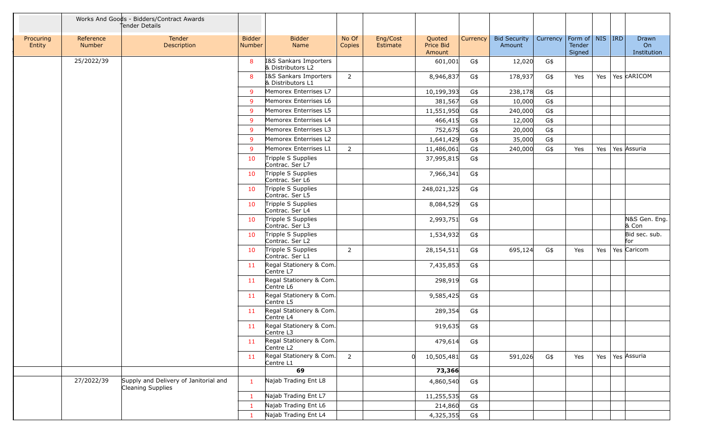|                     | Works And Goods - Bidders/Contract Awards<br>Tender Details |                                                                   |                                |                                                  |                 |                      |                               |                 |                               |          |                                         |         |                                   |
|---------------------|-------------------------------------------------------------|-------------------------------------------------------------------|--------------------------------|--------------------------------------------------|-----------------|----------------------|-------------------------------|-----------------|-------------------------------|----------|-----------------------------------------|---------|-----------------------------------|
| Procuring<br>Entity | Reference<br>Number                                         | Tender<br>Description                                             | <b>Bidder</b><br><b>Number</b> | <b>Bidder</b><br>Name                            | No Of<br>Copies | Eng/Cost<br>Estimate | Quoted<br>Price Bid<br>Amount | <b>Currency</b> | <b>Bid Security</b><br>Amount | Currency | Form of   NIS   IRD<br>Tender<br>Signed |         | <b>Drawn</b><br>On<br>Institution |
|                     | 25/2022/39                                                  |                                                                   | 8                              | I&S Sankars Importers<br>& Distributors L2       |                 |                      | 601,001                       | G\$             | 12,020                        | G\$      |                                         |         |                                   |
|                     |                                                             |                                                                   | 8                              | I&S Sankars Importers<br>& Distributors L1       | 2               |                      | 8,946,837                     | G\$             | 178,937                       | G\$      | Yes                                     | Yes $ $ | Yes CARICOM                       |
|                     |                                                             |                                                                   | -9                             | Memorex Enterrises L7                            |                 |                      | 10,199,393                    | G\$             | 238,178                       | G\$      |                                         |         |                                   |
|                     |                                                             |                                                                   | <sub>9</sub>                   | Memorex Enterrises L6                            |                 |                      | 381,567                       | G\$             | 10,000                        | G\$      |                                         |         |                                   |
|                     |                                                             |                                                                   | <b>q</b>                       | Memorex Enterrises L5                            |                 |                      | 11,551,950                    | G\$             | 240,000                       | G\$      |                                         |         |                                   |
|                     |                                                             |                                                                   | -9                             | Memorex Enterrises L4                            |                 |                      | 466,415                       | G\$             | 12,000                        | G\$      |                                         |         |                                   |
|                     |                                                             |                                                                   | <b>q</b>                       | Memorex Enterrises L3                            |                 |                      | 752,675                       | G\$             | 20,000                        | G\$      |                                         |         |                                   |
|                     |                                                             |                                                                   | -9                             | Memorex Enterrises L2                            |                 |                      | 1,641,429                     | G\$             | 35,000                        | G\$      |                                         |         |                                   |
|                     |                                                             |                                                                   | 9                              | Memorex Enterrises L1                            | $\overline{2}$  |                      | 11,486,061                    | G\$             | 240,000                       | G\$      | Yes                                     | Yes     | Yes Assuria                       |
|                     |                                                             |                                                                   | 10                             | Tripple S Supplies<br>Contrac. Ser L7            |                 |                      | 37,995,815                    | G\$             |                               |          |                                         |         |                                   |
|                     |                                                             |                                                                   | 10                             | Tripple S Supplies<br>Contrac. Ser L6            |                 |                      | 7,966,341                     | G\$             |                               |          |                                         |         |                                   |
|                     |                                                             |                                                                   | 10                             | Tripple S Supplies<br>Contrac. Ser L5            |                 |                      | 248,021,325                   | G\$             |                               |          |                                         |         |                                   |
|                     |                                                             |                                                                   | 10                             | Tripple S Supplies<br>Contrac. Ser L4            |                 |                      | 8,084,529                     | G\$             |                               |          |                                         |         |                                   |
|                     |                                                             |                                                                   | 10                             | Tripple S Supplies<br>Contrac. Ser L3            |                 |                      | 2,993,751                     | G\$             |                               |          |                                         |         | N&S Gen. Eng.<br>& Con            |
|                     |                                                             |                                                                   | 10                             | Tripple S Supplies<br>Contrac. Ser L2            |                 |                      | 1,534,932                     | G\$             |                               |          |                                         |         | Bid sec. sub.<br>for              |
|                     |                                                             |                                                                   | 10                             | Tripple S Supplies<br>Contrac. Ser L1            | 2               |                      | 28,154,511                    | G\$             | 695,124                       | G\$      | Yes                                     | Yes     | Yes Caricom                       |
|                     |                                                             |                                                                   | 11                             | Regal Stationery & Com.<br>Centre L7             |                 |                      | 7,435,853                     | G\$             |                               |          |                                         |         |                                   |
|                     |                                                             |                                                                   | 11                             | Regal Stationery & Com.<br>Centre L6             |                 |                      | 298,919                       | G\$             |                               |          |                                         |         |                                   |
|                     |                                                             |                                                                   | 11                             | Regal Stationery & Com.<br>Centre L5             |                 |                      | 9,585,425                     | G\$             |                               |          |                                         |         |                                   |
|                     |                                                             |                                                                   | 11                             | Regal Stationery & Com.<br>Centre L4             |                 |                      | 289,354                       | G\$             |                               |          |                                         |         |                                   |
|                     |                                                             |                                                                   | 11                             | Regal Stationery & Com.<br>Centre L3             |                 |                      | 919,635                       | G\$             |                               |          |                                         |         |                                   |
|                     |                                                             |                                                                   | 11                             | Regal Stationery & Com.<br>Centre L <sub>2</sub> |                 |                      | 479,614                       | G\$             |                               |          |                                         |         |                                   |
|                     |                                                             |                                                                   | 11                             | Regal Stationery & Com.<br>Centre L1             | $\overline{2}$  |                      | 10,505,481                    | G\$             | 591,026                       | G\$      | Yes                                     | Yes $ $ | Yes Assuria                       |
|                     |                                                             |                                                                   |                                | 69                                               |                 |                      | 73,366                        |                 |                               |          |                                         |         |                                   |
|                     | 27/2022/39                                                  | Supply and Delivery of Janitorial and<br><b>Cleaning Supplies</b> | $\mathbf{1}$                   | Najab Trading Ent L8                             |                 |                      | 4,860,540                     | G\$             |                               |          |                                         |         |                                   |
|                     |                                                             |                                                                   | - 1                            | Najab Trading Ent L7                             |                 |                      | 11,255,535                    | G\$             |                               |          |                                         |         |                                   |
|                     |                                                             |                                                                   |                                | Najab Trading Ent L6                             |                 |                      | 214,860                       | G\$             |                               |          |                                         |         |                                   |
|                     |                                                             |                                                                   |                                | Najab Trading Ent L4                             |                 |                      | 4,325,355                     | G\$             |                               |          |                                         |         |                                   |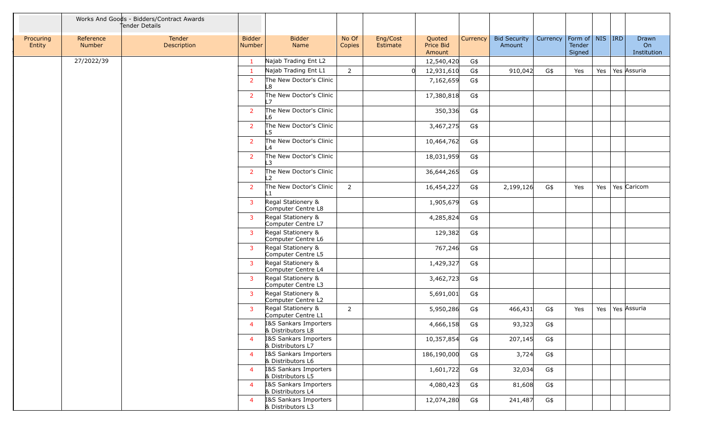|                     |                     | Works And Goods - Bidders/Contract Awards<br>tender Details |                         |                                            |                 |                      |                               |                 |                               |          |                                         |     |                            |
|---------------------|---------------------|-------------------------------------------------------------|-------------------------|--------------------------------------------|-----------------|----------------------|-------------------------------|-----------------|-------------------------------|----------|-----------------------------------------|-----|----------------------------|
| Procuring<br>Entity | Reference<br>Number | Tender<br>Description                                       | <b>Bidder</b><br>Number | <b>Bidder</b><br>Name                      | No Of<br>Copies | Eng/Cost<br>Estimate | Quoted<br>Price Bid<br>Amount | <b>Currency</b> | <b>Bid Security</b><br>Amount | Currency | Form of   NIS   IRD<br>Tender<br>Signed |     | Drawn<br>On<br>Institution |
|                     | 27/2022/39          |                                                             | $\mathbf{1}$            | Najab Trading Ent L2                       |                 |                      | 12,540,420                    | G\$             |                               |          |                                         |     |                            |
|                     |                     |                                                             | -1                      | Najab Trading Ent L1                       | $\overline{2}$  |                      | 12,931,610                    | G\$             | 910,042                       | G\$      | Yes                                     | Yes | Yes Assuria                |
|                     |                     |                                                             | $\overline{2}$          | The New Doctor's Clinic<br>L8              |                 |                      | 7,162,659                     | G\$             |                               |          |                                         |     |                            |
|                     |                     |                                                             | -2                      | The New Doctor's Clinic<br>17              |                 |                      | 17,380,818                    | G\$             |                               |          |                                         |     |                            |
|                     |                     |                                                             | $\overline{2}$          | The New Doctor's Clinic<br>L6              |                 |                      | 350,336                       | G\$             |                               |          |                                         |     |                            |
|                     |                     |                                                             | $\overline{2}$          | The New Doctor's Clinic<br>L5              |                 |                      | 3,467,275                     | G\$             |                               |          |                                         |     |                            |
|                     |                     |                                                             | 2                       | The New Doctor's Clinic<br>L4              |                 |                      | 10,464,762                    | G\$             |                               |          |                                         |     |                            |
|                     |                     |                                                             | 2                       | The New Doctor's Clinic<br>L3              |                 |                      | 18,031,959                    | G\$             |                               |          |                                         |     |                            |
|                     |                     |                                                             | -2                      | The New Doctor's Clinic<br>$\overline{2}$  |                 |                      | 36,644,265                    | G\$             |                               |          |                                         |     |                            |
|                     |                     |                                                             | $\overline{2}$          | The New Doctor's Clinic                    | $\overline{2}$  |                      | 16,454,227                    | G\$             | 2,199,126                     | G\$      | Yes                                     | Yes | Yes Caricom                |
|                     |                     |                                                             | $\overline{3}$          | Regal Stationery &<br>Computer Centre L8   |                 |                      | 1,905,679                     | G\$             |                               |          |                                         |     |                            |
|                     |                     |                                                             | -3                      | Regal Stationery &<br>Computer Centre L7   |                 |                      | 4,285,824                     | G\$             |                               |          |                                         |     |                            |
|                     |                     |                                                             | 3                       | Regal Stationery &<br>Computer Centre L6   |                 |                      | 129,382                       | G\$             |                               |          |                                         |     |                            |
|                     |                     |                                                             | -3                      | Regal Stationery &<br>Computer Centre L5   |                 |                      | 767,246                       | G\$             |                               |          |                                         |     |                            |
|                     |                     |                                                             | 3                       | Regal Stationery &<br>Computer Centre L4   |                 |                      | 1,429,327                     | G\$             |                               |          |                                         |     |                            |
|                     |                     |                                                             | $\overline{\mathbf{3}}$ | Regal Stationery &<br>Computer Centre L3   |                 |                      | 3,462,723                     | G\$             |                               |          |                                         |     |                            |
|                     |                     |                                                             | $\overline{3}$          | Regal Stationery &<br>Computer Centre L2   |                 |                      | 5,691,001                     | G\$             |                               |          |                                         |     |                            |
|                     |                     |                                                             | 3                       | Regal Stationery &<br>Computer Centre L1   | $\overline{2}$  |                      | 5,950,286                     | G\$             | 466,431                       | G\$      | Yes                                     | Yes | Yes Assuria                |
|                     |                     |                                                             | 4                       | I&S Sankars Importers<br>& Distributors L8 |                 |                      | 4,666,158                     | G\$             | 93,323                        | G\$      |                                         |     |                            |
|                     |                     |                                                             | $\overline{4}$          | I&S Sankars Importers<br>& Distributors L7 |                 |                      | 10,357,854                    | G\$             | 207,145                       | G\$      |                                         |     |                            |
|                     |                     |                                                             | $\overline{4}$          | I&S Sankars Importers<br>& Distributors L6 |                 |                      | 186,190,000                   | G\$             | 3,724                         | G\$      |                                         |     |                            |
|                     |                     |                                                             | $\overline{a}$          | I&S Sankars Importers<br>& Distributors L5 |                 |                      | 1,601,722                     | G\$             | 32,034                        | G\$      |                                         |     |                            |
|                     |                     |                                                             | $\overline{4}$          | I&S Sankars Importers<br>& Distributors L4 |                 |                      | 4,080,423                     | G\$             | 81,608                        | G\$      |                                         |     |                            |
|                     |                     |                                                             | $\overline{4}$          | 18S Sankars Importers<br>& Distributors L3 |                 |                      | 12,074,280                    | G\$             | 241,487                       | G\$      |                                         |     |                            |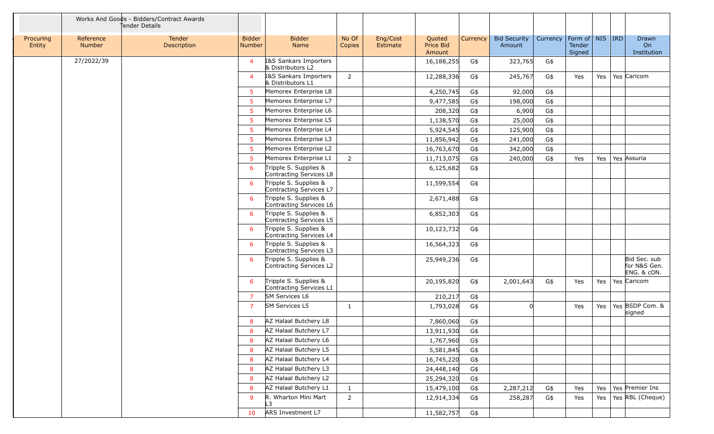|                     |                            | Works And Goods - Bidders/Contract Awards<br>Tender Details |                                |                                                  |                 |                      |                               |                 |                               |          |                                         |     |                                             |
|---------------------|----------------------------|-------------------------------------------------------------|--------------------------------|--------------------------------------------------|-----------------|----------------------|-------------------------------|-----------------|-------------------------------|----------|-----------------------------------------|-----|---------------------------------------------|
| Procuring<br>Entity | Reference<br><b>Number</b> | Tender<br>Description                                       | <b>Bidder</b><br><b>Number</b> | <b>Bidder</b><br>Name                            | No Of<br>Copies | Eng/Cost<br>Estimate | Quoted<br>Price Bid<br>Amount | <b>Currency</b> | <b>Bid Security</b><br>Amount | Currency | Form of   NIS   IRD<br>Tender<br>Signed |     | Drawn<br>O <sub>n</sub><br>Institution      |
|                     | 27/2022/39                 |                                                             | $\overline{4}$                 | I&S Sankars Importers<br>& Distributors L2       |                 |                      | 16,188,255                    | G\$             | 323,765                       | G\$      |                                         |     |                                             |
|                     |                            |                                                             | $\overline{4}$                 | I&S Sankars Importers<br>& Distributors L1       | $\overline{2}$  |                      | 12,288,336                    | G\$             | 245,767                       | G\$      | Yes                                     | Yes | Yes Caricom                                 |
|                     |                            |                                                             | .5                             | Memorex Enterprise L8                            |                 |                      | 4,250,745                     | G\$             | 92,000                        | G\$      |                                         |     |                                             |
|                     |                            |                                                             | -5                             | Memorex Enterprise L7                            |                 |                      | 9,477,585                     | G\$             | 198,000                       | G\$      |                                         |     |                                             |
|                     |                            |                                                             | -5                             | Memorex Enterprise L6                            |                 |                      | 208,320                       | G\$             | 6,900                         | G\$      |                                         |     |                                             |
|                     |                            |                                                             | -5                             | Memorex Enterprise L5                            |                 |                      | 1,138,570                     | G\$             | 25,000                        | G\$      |                                         |     |                                             |
|                     |                            |                                                             | -5                             | Memorex Enterprise L4                            |                 |                      | 5,924,545                     | G\$             | 125,900                       | G\$      |                                         |     |                                             |
|                     |                            |                                                             | -5                             | Memorex Enterprise L3                            |                 |                      | 11,856,942                    | G\$             | 241,000                       | G\$      |                                         |     |                                             |
|                     |                            |                                                             | .5                             | Memorex Enterprise L2                            |                 |                      | 16,763,670                    | G\$             | 342,000                       | G\$      |                                         |     |                                             |
|                     |                            |                                                             | -5                             | Memorex Enterprise L1                            | $\overline{2}$  |                      | 11,713,075                    | G\$             | 240,000                       | G\$      | Yes                                     | Yes | Yes Assuria                                 |
|                     |                            |                                                             | 6                              | Tripple S. Supplies &<br>Contracting Services L8 |                 |                      | 6,125,682                     | G\$             |                               |          |                                         |     |                                             |
|                     |                            |                                                             | 6                              | Tripple S. Supplies &<br>Contracting Services L7 |                 |                      | 11,599,554                    | G\$             |                               |          |                                         |     |                                             |
|                     |                            |                                                             | 6                              | Tripple S. Supplies &<br>Contracting Services L6 |                 |                      | 2,671,488                     | G\$             |                               |          |                                         |     |                                             |
|                     |                            |                                                             | 6                              | Tripple S. Supplies &<br>Contracting Services L5 |                 |                      | 6,852,303                     | G\$             |                               |          |                                         |     |                                             |
|                     |                            |                                                             | 6                              | Tripple S. Supplies &<br>Contracting Services L4 |                 |                      | 10,123,732                    | G\$             |                               |          |                                         |     |                                             |
|                     |                            |                                                             | 6                              | Tripple S. Supplies &<br>Contracting Services L3 |                 |                      | 16,564,323                    | G\$             |                               |          |                                         |     |                                             |
|                     |                            |                                                             | 6                              | Tripple S. Supplies &<br>Contracting Services L2 |                 |                      | 25,949,236                    | G\$             |                               |          |                                         |     | Bid Sec. sub<br>for N&S Gen.<br>ENG. & cON. |
|                     |                            |                                                             | 6                              | Tripple S. Supplies &<br>Contracting Services L1 |                 |                      | 20,195,820                    | G\$             | 2,001,643                     | G\$      | Yes                                     | Yes | Yes Caricom                                 |
|                     |                            |                                                             | -7                             | <b>SM Services L6</b>                            |                 |                      | 210,217                       | G\$             |                               |          |                                         |     |                                             |
|                     |                            |                                                             | -7                             | <b>SM Services L5</b>                            | 1               |                      | 1,793,028                     | G\$             |                               |          | Yes                                     | Yes | Yes BSDP Com. &<br>signed                   |
|                     |                            |                                                             | 8                              | AZ Halaal Butchery L8                            |                 |                      | 7,860,060                     | G\$             |                               |          |                                         |     |                                             |
|                     |                            |                                                             | 8                              | AZ Halaal Butchery L7                            |                 |                      | 13,911,930                    | G\$             |                               |          |                                         |     |                                             |
|                     |                            |                                                             | 8                              | AZ Halaal Butchery L6                            |                 |                      | 1,767,960                     | G\$             |                               |          |                                         |     |                                             |
|                     |                            |                                                             | 8                              | AZ Halaal Butchery L5                            |                 |                      | 5,581,845                     | G\$             |                               |          |                                         |     |                                             |
|                     |                            |                                                             | 8                              | AZ Halaal Butchery L4                            |                 |                      | 16,745,220                    | G\$             |                               |          |                                         |     |                                             |
|                     |                            |                                                             | -8                             | AZ Halaal Butchery L3                            |                 |                      | 24,448,140                    | G\$             |                               |          |                                         |     |                                             |
|                     |                            |                                                             | 8                              | AZ Halaal Butchery L2                            |                 |                      | 25,294,320                    | G\$             |                               |          |                                         |     |                                             |
|                     |                            |                                                             | 8                              | AZ Halaal Butchery L1                            | $\mathbf{1}$    |                      | 15,479,100                    | G\$             | 2,287,212                     | G\$      | Yes                                     | Yes | Yes Premier Ins                             |
|                     |                            |                                                             | 9                              | R. Wharton Mini Mart<br>L3                       | $\overline{2}$  |                      | 12,914,334                    | G\$             | 258,287                       | G\$      | Yes                                     | Yes | Yes RBL (Cheque)                            |
|                     |                            |                                                             | 10                             | ARS Investment L7                                |                 |                      | 11,582,757                    | G\$             |                               |          |                                         |     |                                             |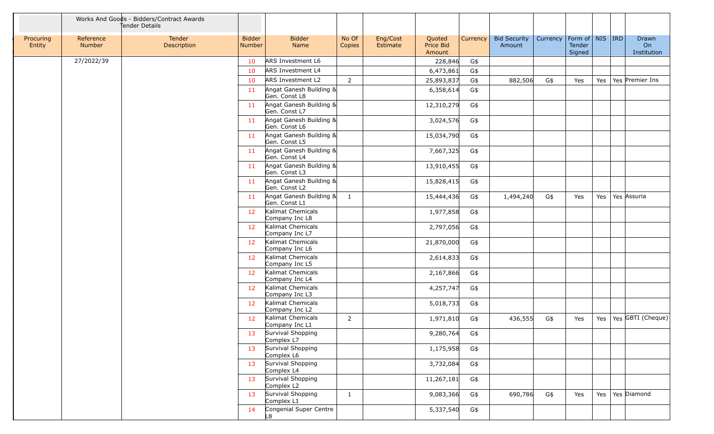|                     |                     | Works And Goods - Bidders/Contract Awards<br>Tender Details |                         |                                          |                 |                      |                               |          |                               |                                |                  |     |                            |
|---------------------|---------------------|-------------------------------------------------------------|-------------------------|------------------------------------------|-----------------|----------------------|-------------------------------|----------|-------------------------------|--------------------------------|------------------|-----|----------------------------|
| Procuring<br>Entity | Reference<br>Number | Tender<br>Description                                       | <b>Bidder</b><br>Number | <b>Bidder</b><br>Name                    | No Of<br>Copies | Eng/Cost<br>Estimate | Quoted<br>Price Bid<br>Amount | Currency | <b>Bid Security</b><br>Amount | Currency   Form of   NIS   IRD | Tender<br>Signed |     | Drawn<br>On<br>Institution |
|                     | 27/2022/39          |                                                             | 10                      | ARS Investment L6                        |                 |                      | 228,846                       | G\$      |                               |                                |                  |     |                            |
|                     |                     |                                                             | 10                      | <b>ARS Investment L4</b>                 |                 |                      | 6,473,861                     | G\$      |                               |                                |                  |     |                            |
|                     |                     |                                                             | 10                      | <b>ARS Investment L2</b>                 | $\overline{2}$  |                      | 25,893,837                    | G\$      | 882,506                       | G\$                            | Yes              | Yes | Yes Premier Ins            |
|                     |                     |                                                             | 11                      | Angat Ganesh Building &<br>Gen. Const L8 |                 |                      | 6,358,614                     | G\$      |                               |                                |                  |     |                            |
|                     |                     |                                                             | 11                      | Angat Ganesh Building &<br>Gen. Const L7 |                 |                      | 12,310,279                    | G\$      |                               |                                |                  |     |                            |
|                     |                     |                                                             | -11                     | Angat Ganesh Building &<br>Gen. Const L6 |                 |                      | 3,024,576                     | G\$      |                               |                                |                  |     |                            |
|                     |                     |                                                             | 11                      | Angat Ganesh Building &<br>Gen. Const L5 |                 |                      | 15,034,790                    | G\$      |                               |                                |                  |     |                            |
|                     |                     |                                                             | 11                      | Angat Ganesh Building &<br>Gen. Const L4 |                 |                      | 7,667,325                     | $G\$     |                               |                                |                  |     |                            |
|                     |                     |                                                             | 11                      | Angat Ganesh Building &<br>Gen. Const L3 |                 |                      | 13,910,455                    | G\$      |                               |                                |                  |     |                            |
|                     |                     |                                                             | 11                      | Angat Ganesh Building &<br>Gen. Const L2 |                 |                      | 15,828,415                    | G\$      |                               |                                |                  |     |                            |
|                     |                     |                                                             | -11                     | Angat Ganesh Building &<br>Gen. Const L1 | $\mathbf{1}$    |                      | 15,444,436                    | G\$      | 1,494,240                     | G\$                            | Yes              | Yes | Yes Assuria                |
|                     |                     |                                                             | 12                      | Kalimat Chemicals<br>Company Inc L8      |                 |                      | 1,977,858                     | G\$      |                               |                                |                  |     |                            |
|                     |                     |                                                             | 12                      | Kalimat Chemicals<br>Company Inc L7      |                 |                      | 2,797,056                     | G\$      |                               |                                |                  |     |                            |
|                     |                     |                                                             | 12 <sup>7</sup>         | Kalimat Chemicals<br>Company Inc L6      |                 |                      | 21,870,000                    | G\$      |                               |                                |                  |     |                            |
|                     |                     |                                                             | 12                      | Kalimat Chemicals<br>Company Inc L5      |                 |                      | 2,614,833                     | G\$      |                               |                                |                  |     |                            |
|                     |                     |                                                             | 12                      | Kalimat Chemicals<br>Company Inc L4      |                 |                      | 2,167,866                     | G\$      |                               |                                |                  |     |                            |
|                     |                     |                                                             | 12                      | Kalimat Chemicals<br>Company Inc L3      |                 |                      | 4,257,747                     | G\$      |                               |                                |                  |     |                            |
|                     |                     |                                                             | 12                      | Kalimat Chemicals<br>Company Inc L2      |                 |                      | 5,018,733                     | G\$      |                               |                                |                  |     |                            |
|                     |                     |                                                             | 12                      | Kalimat Chemicals<br>Company Inc L1      | 2               |                      | 1,971,810                     | G\$      | 436,555                       | G\$                            | Yes              | Yes | Yes GBTI (Cheque)          |
|                     |                     |                                                             | 13                      | Survival Shopping<br>Complex L7          |                 |                      | 9,280,764                     | G\$      |                               |                                |                  |     |                            |
|                     |                     |                                                             | 13                      | Survival Shopping<br>Complex L6          |                 |                      | 1,175,958                     | G\$      |                               |                                |                  |     |                            |
|                     |                     |                                                             | 13                      | Survival Shopping<br>Complex L4          |                 |                      | 3,732,084                     | G\$      |                               |                                |                  |     |                            |
|                     |                     |                                                             | 13                      | Survival Shopping<br>Complex L2          |                 |                      | 11,267,181                    | G\$      |                               |                                |                  |     |                            |
|                     |                     |                                                             | 13                      | Survival Shopping<br>Complex L1          | $\mathbf{1}$    |                      | 9,083,366                     | G\$      | 690,786                       | G\$                            | Yes              | Yes | Yes Diamond                |
|                     |                     |                                                             | 14                      | Congenial Super Centre<br>L8             |                 |                      | 5,337,540                     | G\$      |                               |                                |                  |     |                            |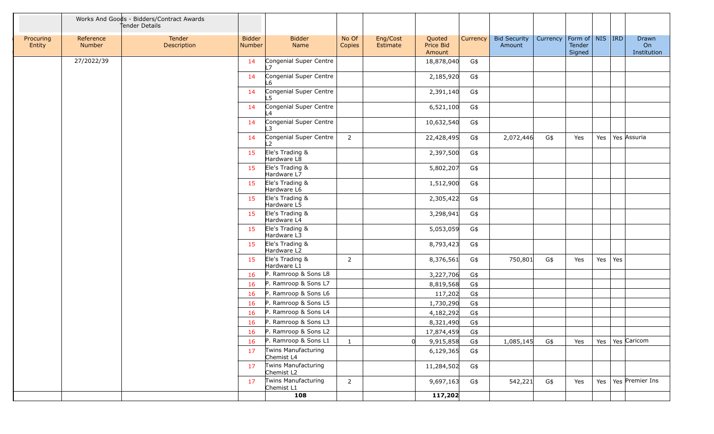|                     | Works And Goods - Bidders/Contract Awards<br>tender Details |                       |                         |                                          |                 |                      |                               |                 |                               |          |                                         |         |     |                            |
|---------------------|-------------------------------------------------------------|-----------------------|-------------------------|------------------------------------------|-----------------|----------------------|-------------------------------|-----------------|-------------------------------|----------|-----------------------------------------|---------|-----|----------------------------|
| Procuring<br>Entity | Reference<br>Number                                         | Tender<br>Description | <b>Bidder</b><br>Number | <b>Bidder</b><br>Name                    | No Of<br>Copies | Eng/Cost<br>Estimate | Quoted<br>Price Bid<br>Amount | <b>Currency</b> | <b>Bid Security</b><br>Amount | Currency | Form of   NIS   IRD<br>Tender<br>Signed |         |     | Drawn<br>On<br>Institution |
|                     | 27/2022/39                                                  |                       | 14                      | Congenial Super Centre<br>$\overline{7}$ |                 |                      | 18,878,040                    | G\$             |                               |          |                                         |         |     |                            |
|                     |                                                             |                       | 14                      | Congenial Super Centre<br>L6             |                 |                      | 2,185,920                     | G\$             |                               |          |                                         |         |     |                            |
|                     |                                                             |                       | 14                      | Congenial Super Centre<br>L5             |                 |                      | 2,391,140                     | G\$             |                               |          |                                         |         |     |                            |
|                     |                                                             |                       | 14                      | Congenial Super Centre<br>L4             |                 |                      | 6,521,100                     | G\$             |                               |          |                                         |         |     |                            |
|                     |                                                             |                       | 14                      | Congenial Super Centre                   |                 |                      | 10,632,540                    | G\$             |                               |          |                                         |         |     |                            |
|                     |                                                             |                       | 14                      | Congenial Super Centre                   | $\overline{2}$  |                      | 22,428,495                    | G\$             | 2,072,446                     | G\$      | Yes                                     | Yes $ $ |     | Yes Assuria                |
|                     |                                                             |                       | 15                      | Ele's Trading &<br>Hardware L8           |                 |                      | 2,397,500                     | G\$             |                               |          |                                         |         |     |                            |
|                     |                                                             |                       | 15                      | Ele's Trading &<br>Hardware L7           |                 |                      | 5,802,207                     | G\$             |                               |          |                                         |         |     |                            |
|                     |                                                             |                       | 15                      | Ele's Trading &<br>Hardware L6           |                 |                      | 1,512,900                     | G\$             |                               |          |                                         |         |     |                            |
|                     |                                                             |                       | 15                      | Ele's Trading &<br>Hardware L5           |                 |                      | 2,305,422                     | G\$             |                               |          |                                         |         |     |                            |
|                     |                                                             |                       | 15                      | Ele's Trading &<br>Hardware L4           |                 |                      | 3,298,941                     | G\$             |                               |          |                                         |         |     |                            |
|                     |                                                             |                       | 15                      | Ele's Trading &<br>Hardware L3           |                 |                      | 5,053,059                     | G\$             |                               |          |                                         |         |     |                            |
|                     |                                                             |                       | 15                      | Ele's Trading &<br>Hardware L2           |                 |                      | 8,793,423                     | G\$             |                               |          |                                         |         |     |                            |
|                     |                                                             |                       | 15                      | Ele's Trading &<br>Hardware L1           | 2               |                      | 8,376,561                     | G\$             | 750,801                       | G\$      | Yes                                     | Yes     | Yes |                            |
|                     |                                                             |                       | 16                      | P. Ramroop & Sons L8                     |                 |                      | 3,227,706                     | G\$             |                               |          |                                         |         |     |                            |
|                     |                                                             |                       | 16                      | P. Ramroop & Sons L7                     |                 |                      | 8,819,568                     | G\$             |                               |          |                                         |         |     |                            |
|                     |                                                             |                       | 16                      | P. Ramroop & Sons L6                     |                 |                      | 117,202                       | G\$             |                               |          |                                         |         |     |                            |
|                     |                                                             |                       | 16                      | P. Ramroop & Sons L5                     |                 |                      | 1,730,290                     | $G\$            |                               |          |                                         |         |     |                            |
|                     |                                                             |                       | 16                      | P. Ramroop & Sons L4                     |                 |                      | 4,182,292                     | G\$             |                               |          |                                         |         |     |                            |
|                     |                                                             |                       | 16                      | P. Ramroop & Sons L3                     |                 |                      | 8,321,490                     | $G\$            |                               |          |                                         |         |     |                            |
|                     |                                                             |                       | 16                      | P. Ramroop & Sons L2                     |                 |                      | 17,874,459                    | G\$             |                               |          |                                         |         |     |                            |
|                     |                                                             |                       | 16                      | P. Ramroop & Sons L1                     | $\mathbf{1}$    |                      | 9,915,858                     | G\$             | 1,085,145                     | G\$      | Yes                                     |         |     | Yes   Yes   Caricom        |
|                     |                                                             |                       | 17                      | Twins Manufacturing<br>Chemist L4        |                 |                      | 6,129,365                     | G\$             |                               |          |                                         |         |     |                            |
|                     |                                                             |                       | 17                      | Twins Manufacturing<br>Chemist L2        |                 |                      | 11,284,502                    | G\$             |                               |          |                                         |         |     |                            |
|                     |                                                             |                       | 17                      | <b>Twins Manufacturing</b><br>Chemist L1 | $\overline{2}$  |                      | 9,697,163                     | G\$             | 542,221                       | G\$      | Yes                                     |         |     | Yes   Yes   Premier Ins    |
|                     |                                                             |                       |                         | 108                                      |                 |                      | 117,202                       |                 |                               |          |                                         |         |     |                            |